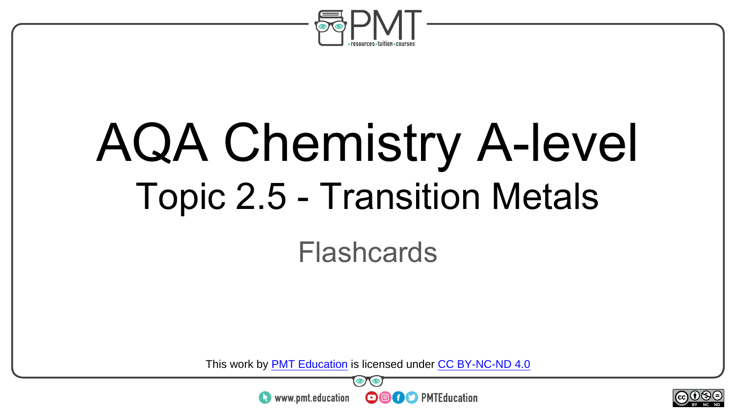

## AQA Chemistry A-level Topic 2.5 - Transition Metals

#### Flashcards

This work by <u>PMT Education</u> is licensed under CC BY-NC-ND 4.0<br>
www.pmt.education **in the CO CO** PMTEducation



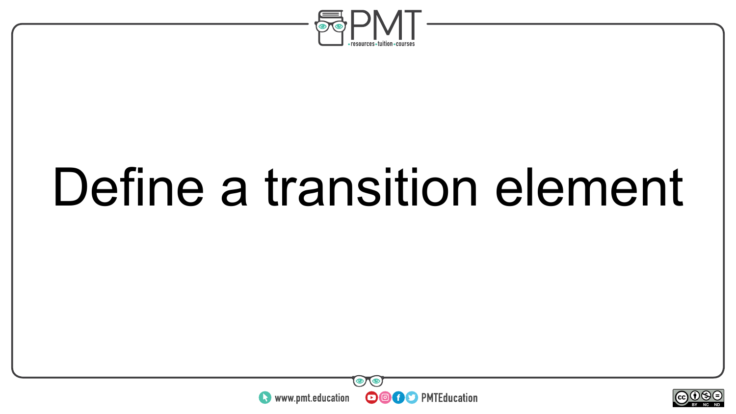

### Define a transition element



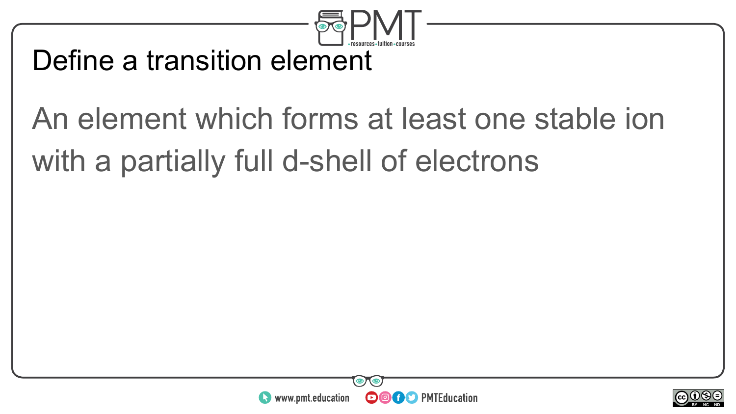

#### Define a transition element

### An element which forms at least one stable ion with a partially full d-shell of electrons



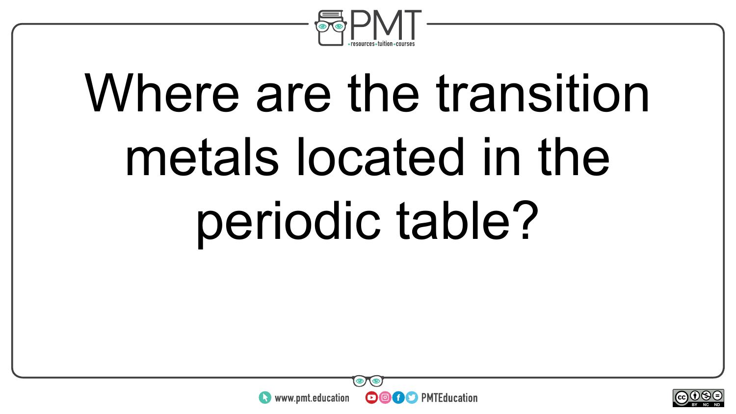

## Where are the transition metals located in the periodic table?



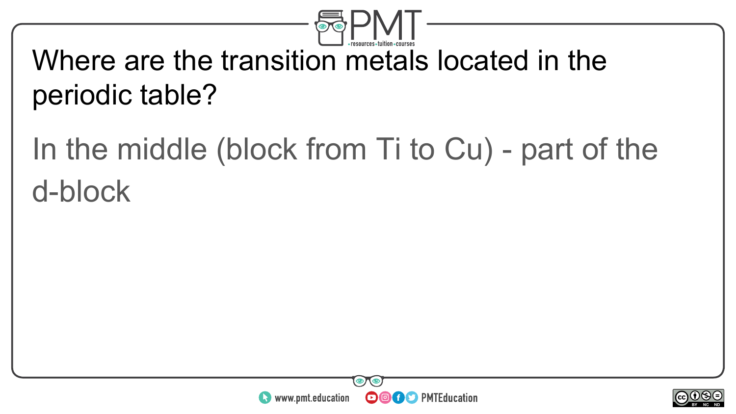

#### Where are the transition metals located in the periodic table?

### In the middle (block from Ti to Cu) - part of the d-block



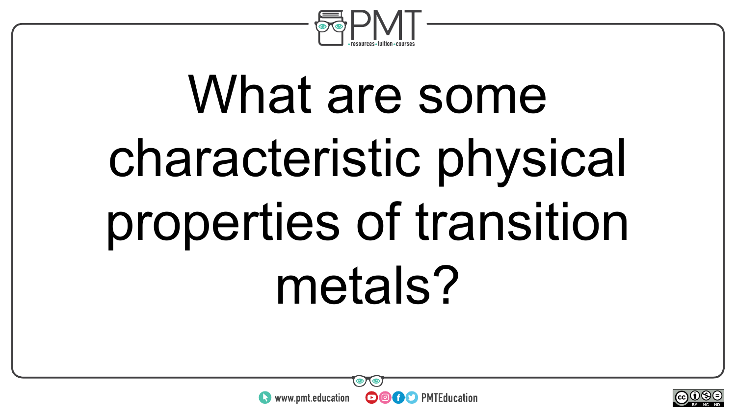

## What are some characteristic physical properties of transition metals?



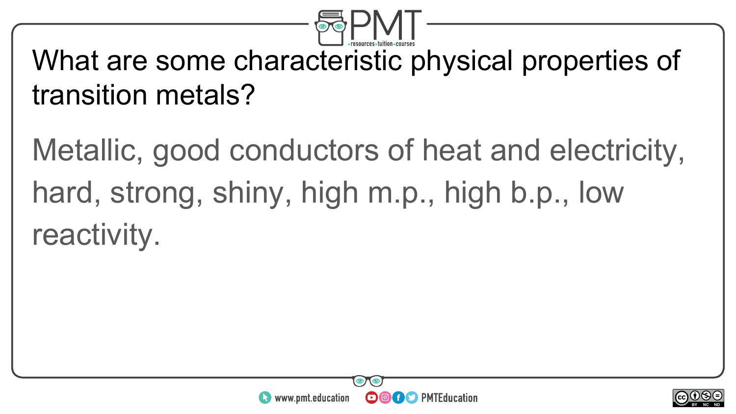

#### What are some characteristic physical properties of transition metals?

Metallic, good conductors of heat and electricity, hard, strong, shiny, high m.p., high b.p., low reactivity.



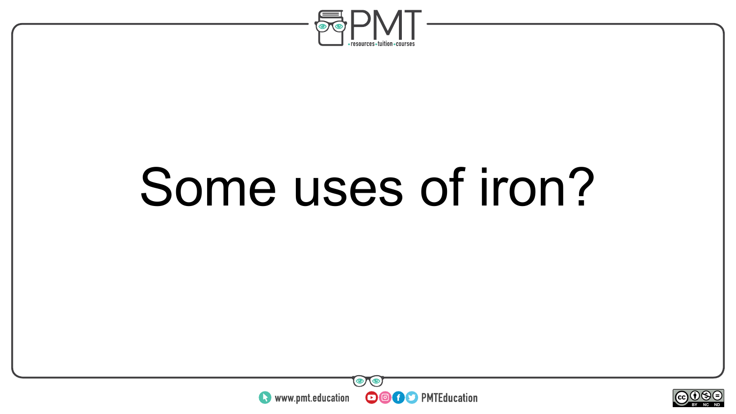

### Some uses of iron?



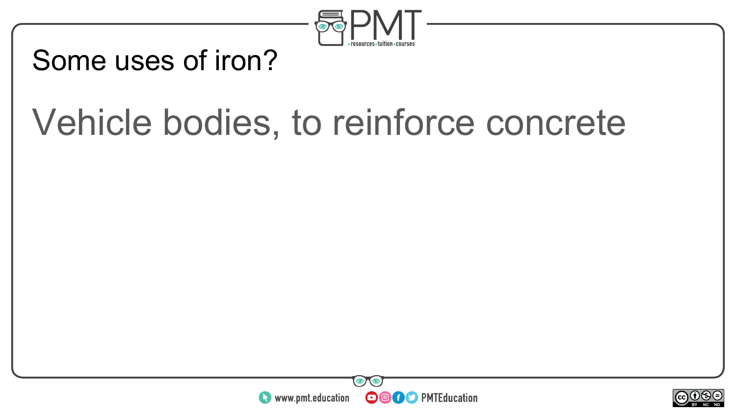

#### Some uses of iron?

### Vehicle bodies, to reinforce concrete



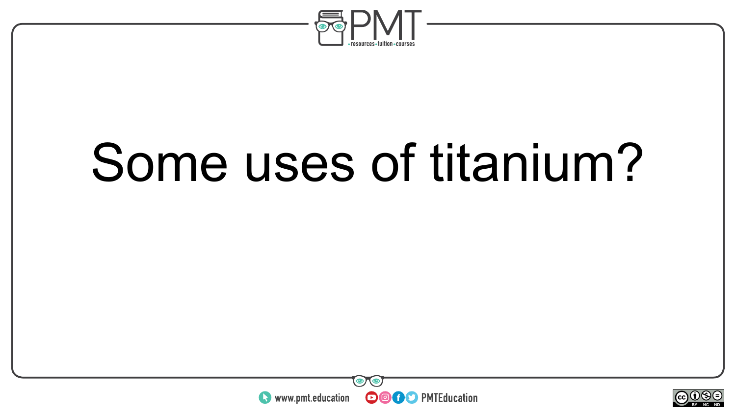

### Some uses of titanium?



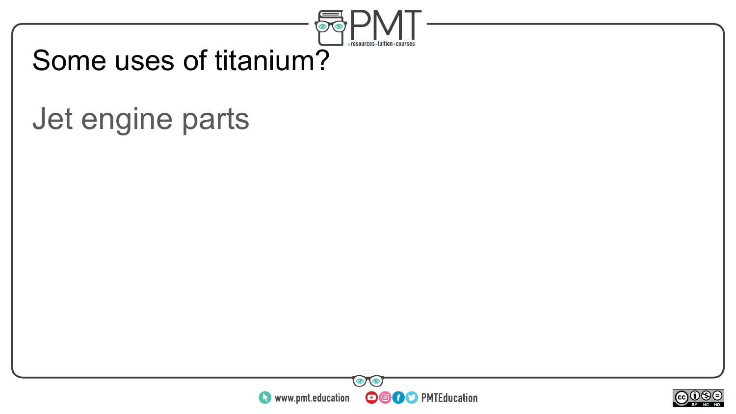

#### Some uses of titanium?

### Jet engine parts



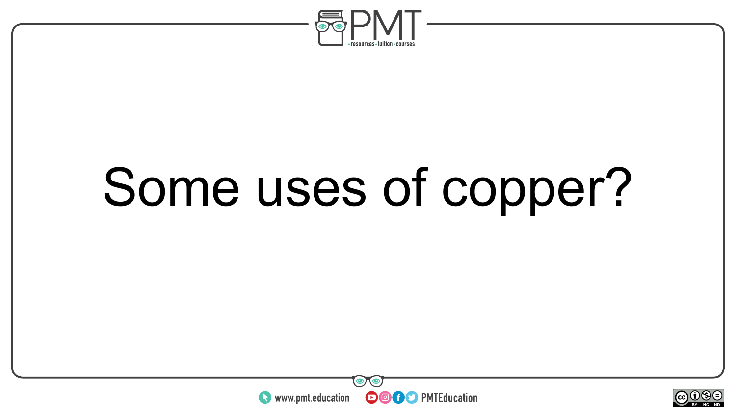

### Some uses of copper?



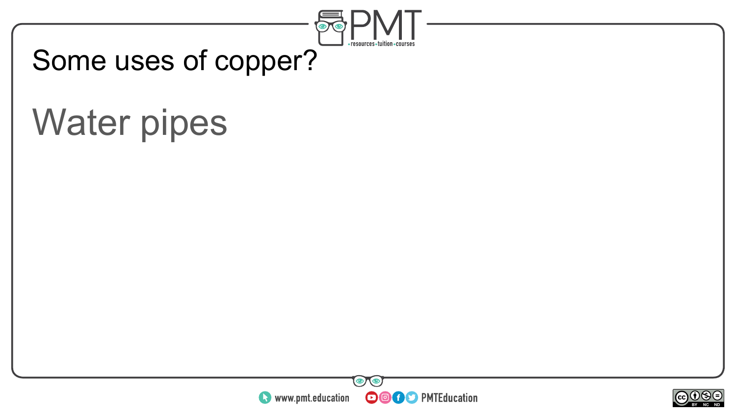

#### Some uses of copper?

### Water pipes



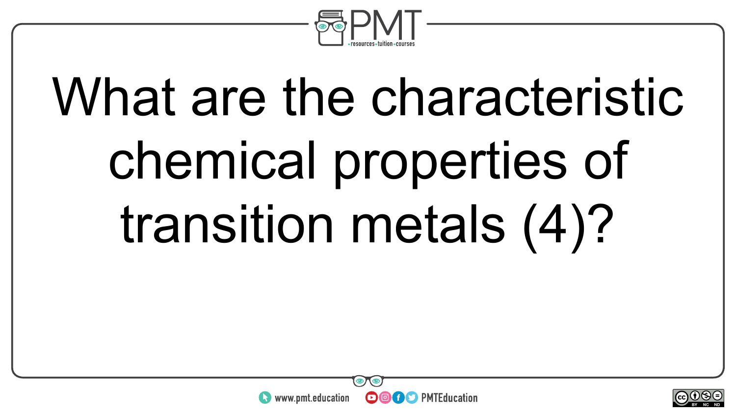

# What are the characteristic chemical properties of transition metals (4)?



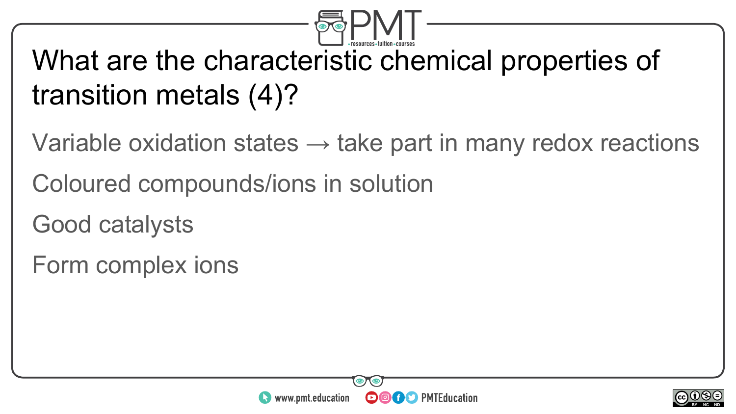

### What are the characteristic chemical properties of transition metals (4)?

- Variable oxidation states  $\rightarrow$  take part in many redox reactions
- Coloured compounds/ions in solution
- Good catalysts
- Form complex ions



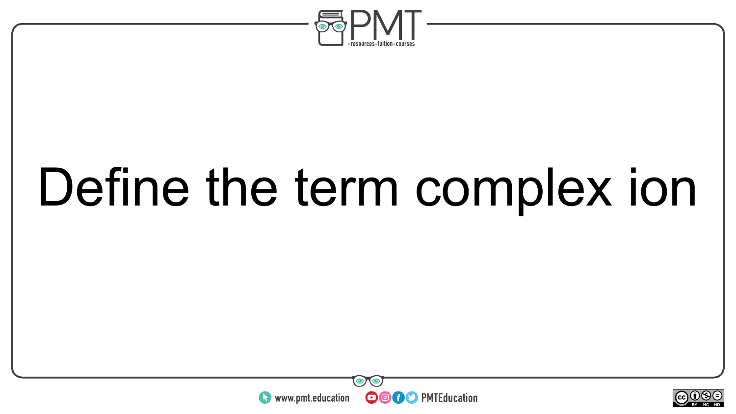

### Define the term complex ion



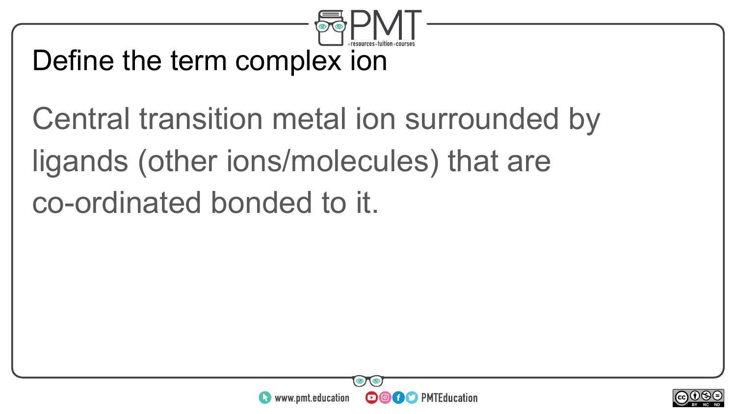

#### Define the term complex ion

Central transition metal ion surrounded by ligands (other ions/molecules) that are co-ordinated bonded to it.



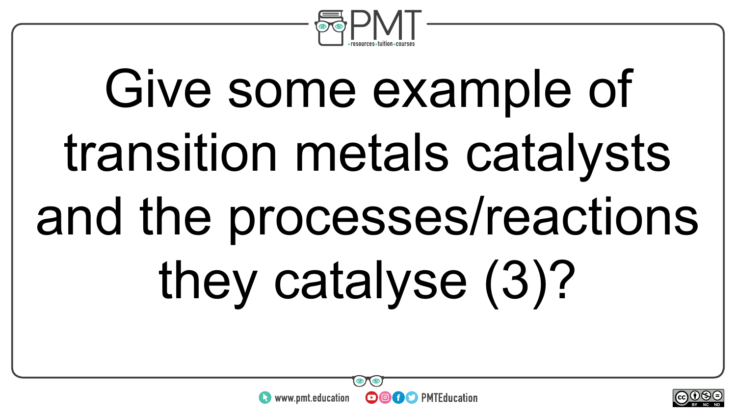

# Give some example of transition metals catalysts and the processes/reactions they catalyse (3)?



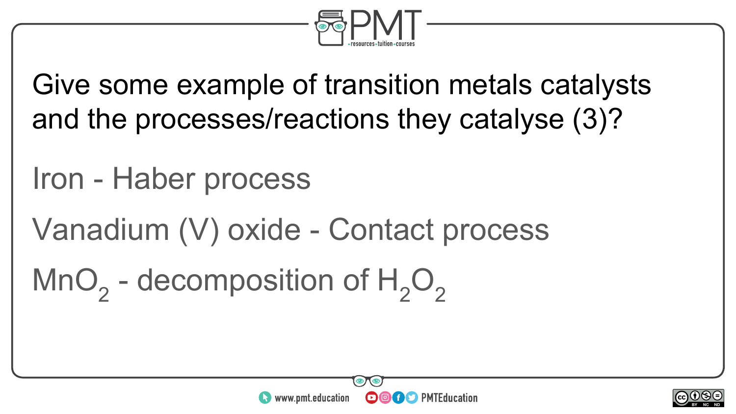

Give some example of transition metals catalysts and the processes/reactions they catalyse (3)?

### Iron - Haber process

Vanadium (V) oxide - Contact process

MnO<sub>2</sub> - decomposition of  $H_2O_2$ 



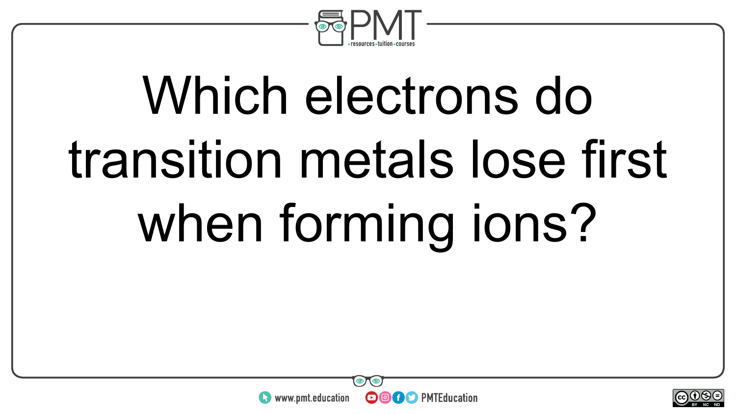

# Which electrons do transition metals lose first when forming ions?



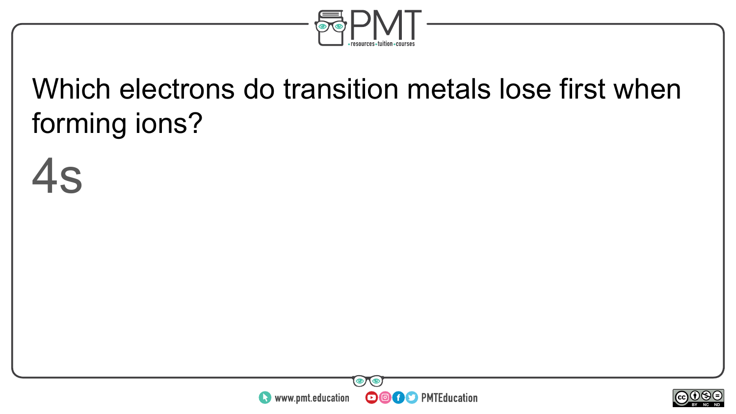

### Which electrons do transition metals lose first when forming ions?





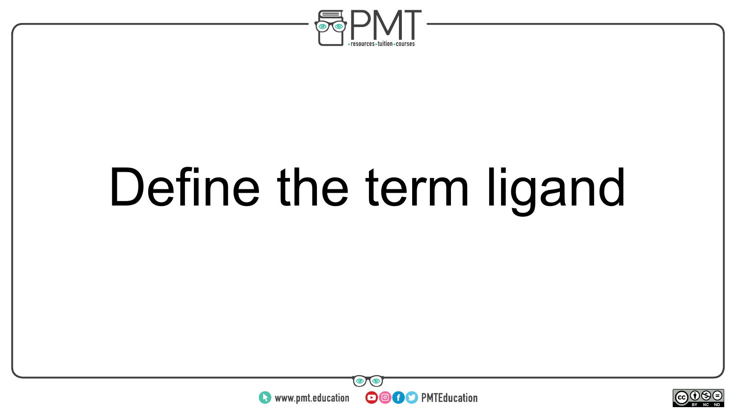

### Define the term ligand



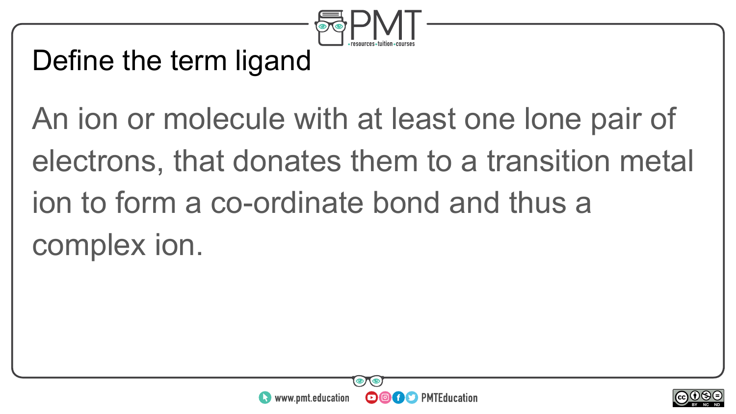

#### Define the term ligand

An ion or molecule with at least one lone pair of electrons, that donates them to a transition metal ion to form a co-ordinate bond and thus a complex ion.



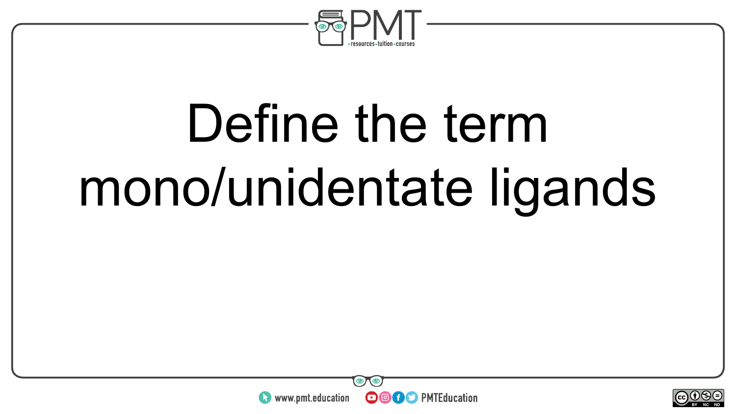

## Define the term mono/unidentate ligands



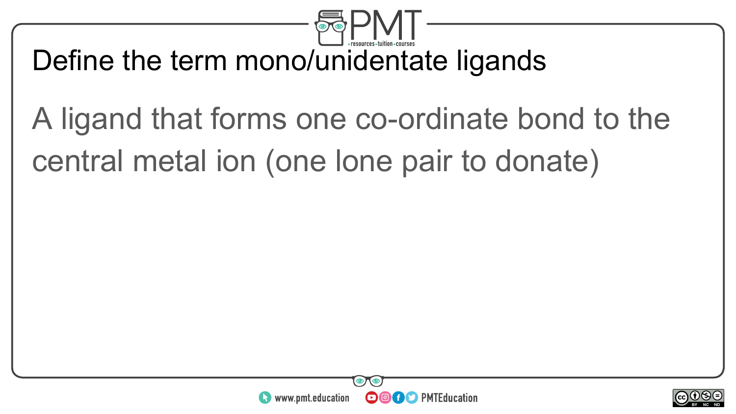

#### Define the term mono/unidentate ligands

### A ligand that forms one co-ordinate bond to the central metal ion (one lone pair to donate)



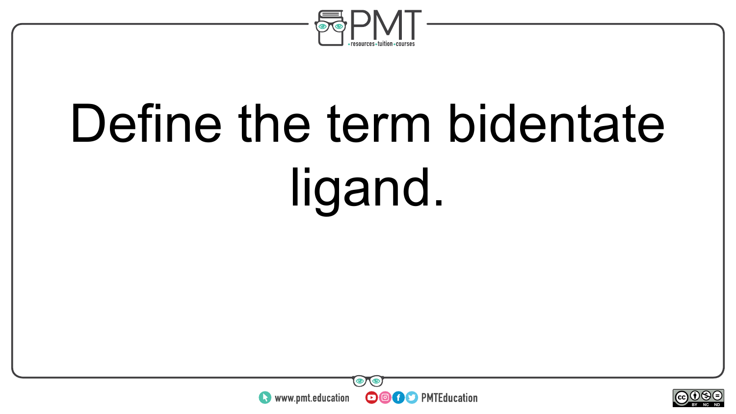

# Define the term bidentate ligand.



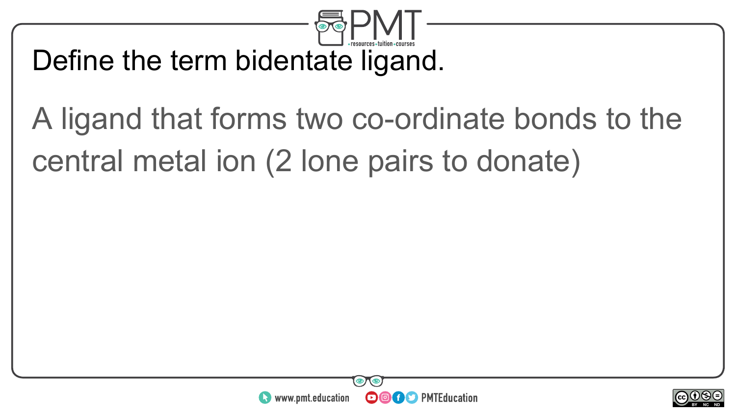

#### Define the term bidentate ligand.

### A ligand that forms two co-ordinate bonds to the central metal ion (2 lone pairs to donate)



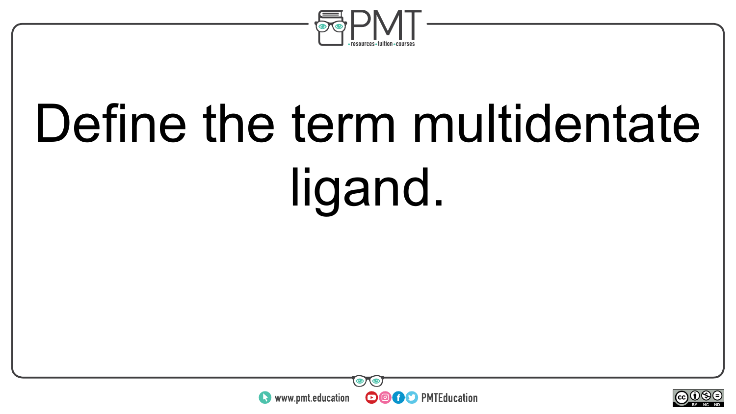

# Define the term multidentate ligand.



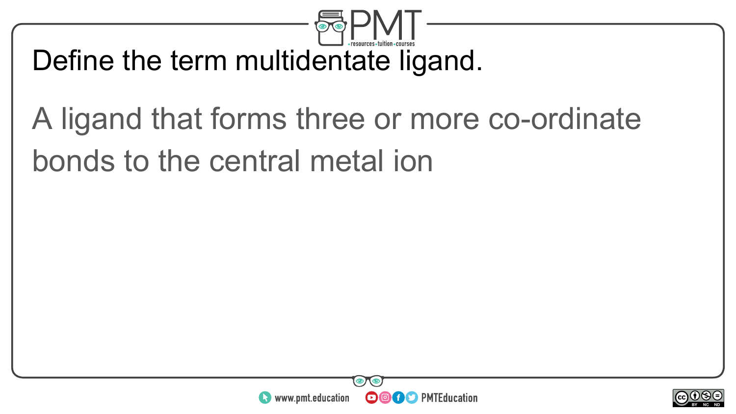

#### Define the term multidentate ligand.

### A ligand that forms three or more co-ordinate bonds to the central metal ion



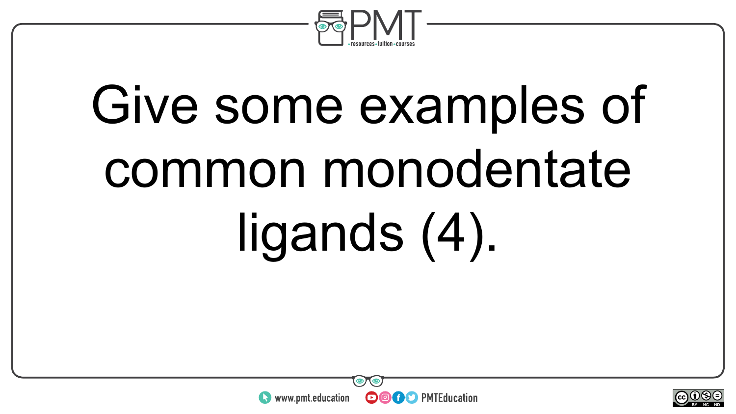

# Give some examples of common monodentate ligands (4).



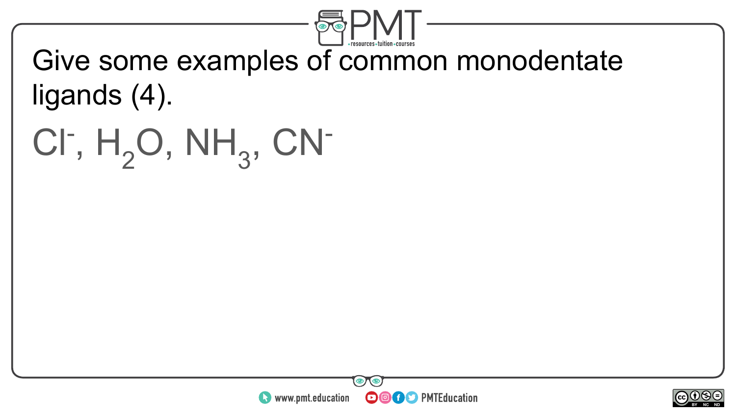

#### Give some examples of common monodentate ligands (4).

CI<sup>-</sup>,  $H_2O$ , NH<sub>3</sub>, CN<sup>-</sup>



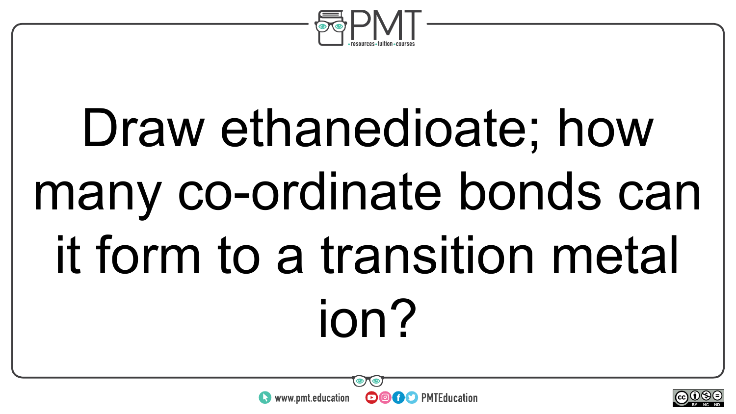

# Draw ethanedioate; how many co-ordinate bonds can it form to a transition metal ion?

**OOOO D** PMTEducation

www.pmt.education

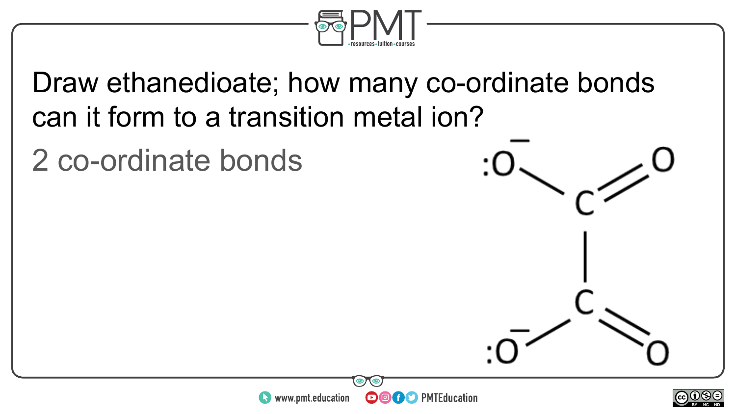

Draw ethanedioate; how many co-ordinate bonds can it form to a transition metal ion?

2 co-ordinate bonds



**OOOO** PMTEducation

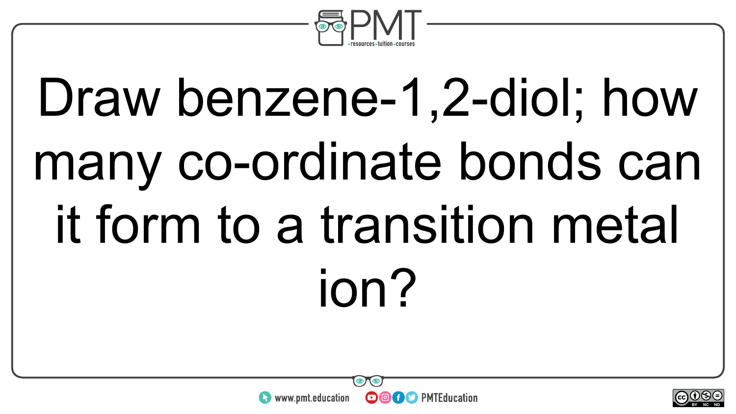

# Draw benzene-1,2-diol; how many co-ordinate bonds can it form to a transition metal ion?



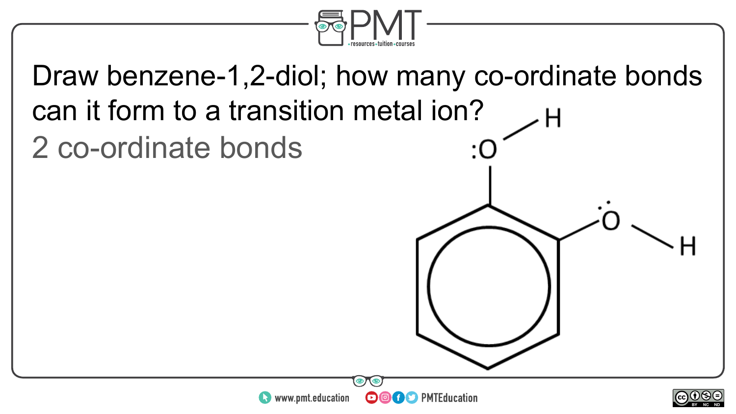

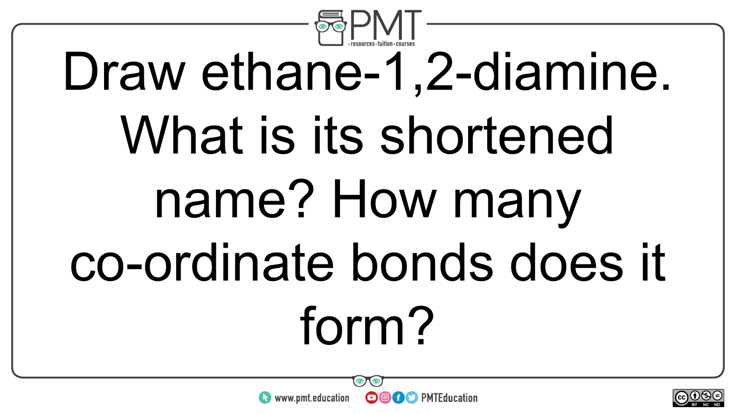

# Draw ethane-1,2-diamine. What is its shortened name? How many co-ordinate bonds does it form?



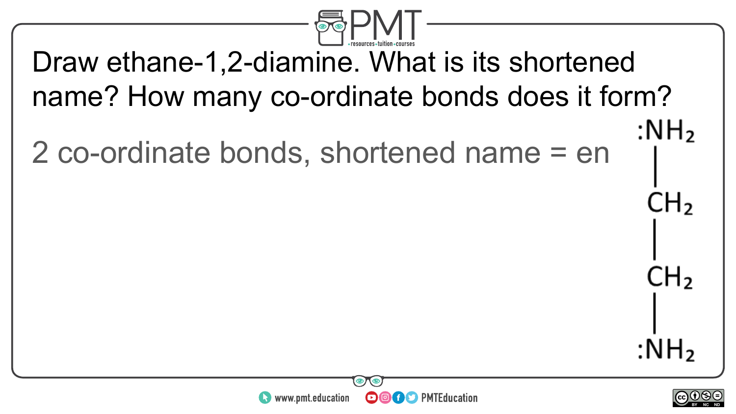

#### Draw ethane-1,2-diamine. What is its shortened name? How many co-ordinate bonds does it form? : $NH<sub>2</sub>$

2 co-ordinate bonds, shortened name = en





 $CH<sub>2</sub>$ 

CH<sub>2</sub>

:NH<sub>2</sub>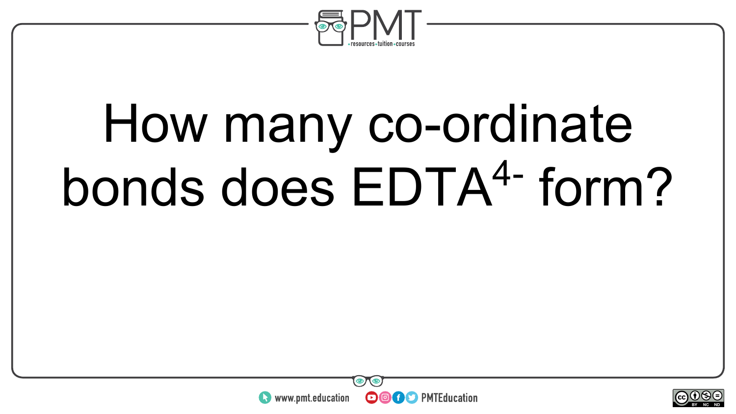

### How many co-ordinate bonds does EDTA4- form?



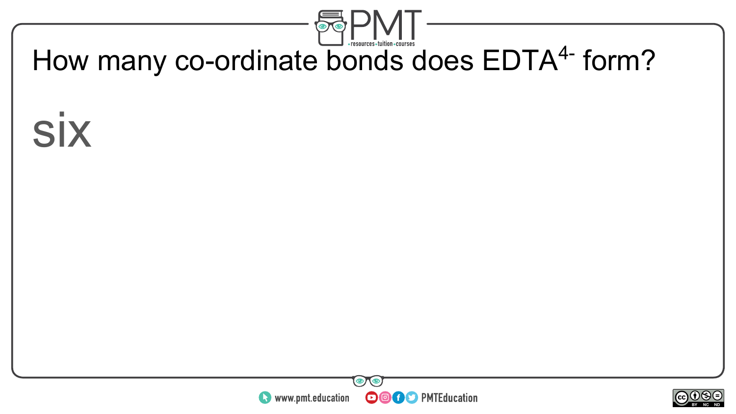

#### How many co-ordinate bonds does EDTA<sup>4-</sup> form?

six



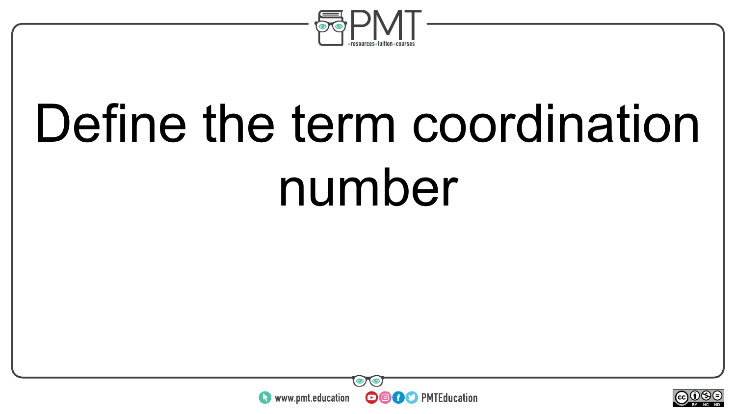

### Define the term coordination number



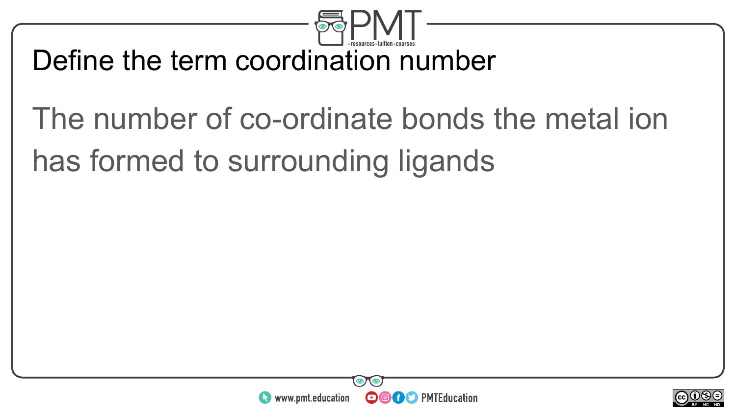

#### Define the term coordination number

### The number of co-ordinate bonds the metal ion has formed to surrounding ligands



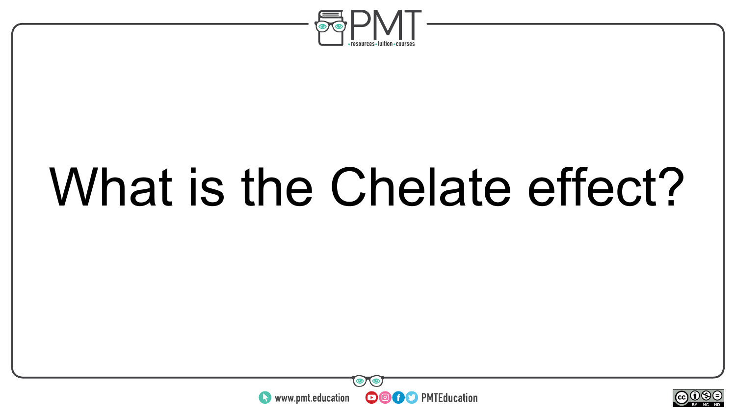

### What is the Chelate effect?



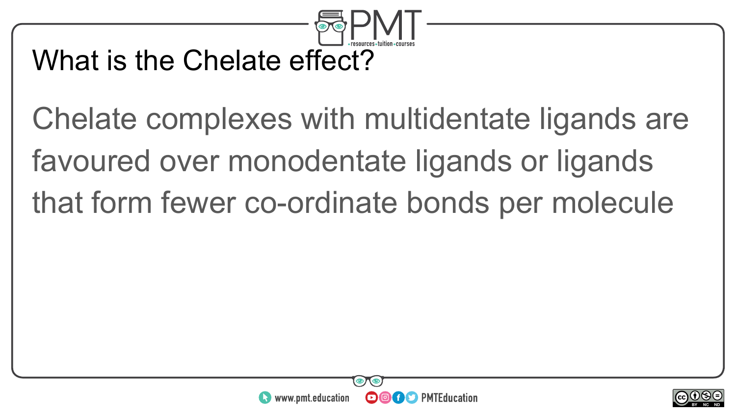

#### What is the Chelate effect?

Chelate complexes with multidentate ligands are favoured over monodentate ligands or ligands that form fewer co-ordinate bonds per molecule



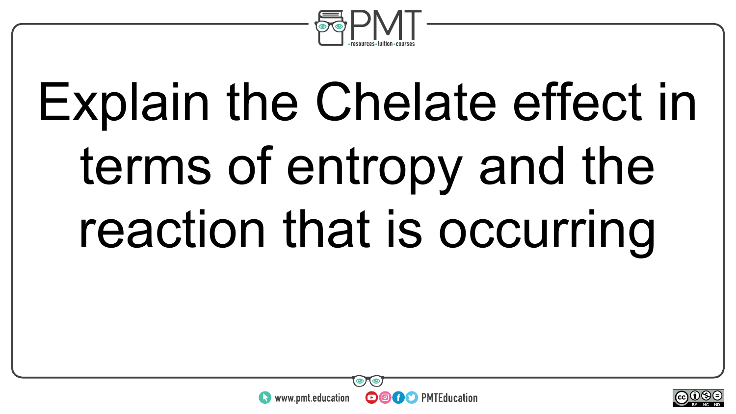

## Explain the Chelate effect in terms of entropy and the reaction that is occurring



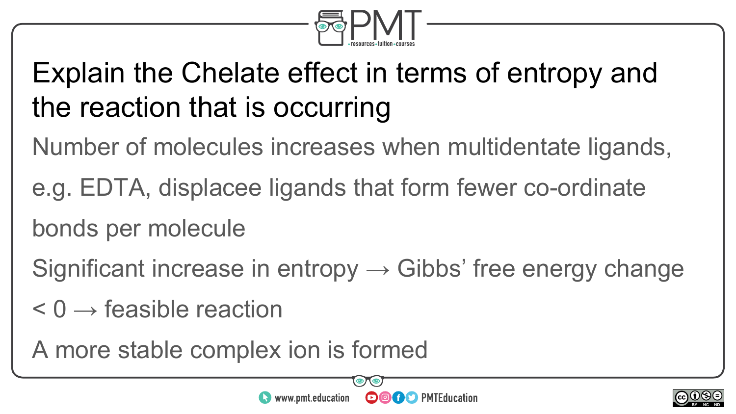

### Explain the Chelate effect in terms of entropy and the reaction that is occurring

Number of molecules increases when multidentate ligands,

e.g. EDTA, displacee ligands that form fewer co-ordinate bonds per molecule

Significant increase in entropy  $\rightarrow$  Gibbs' free energy change

 $\leq 0 \rightarrow$  feasible reaction

A more stable complex ion is formed

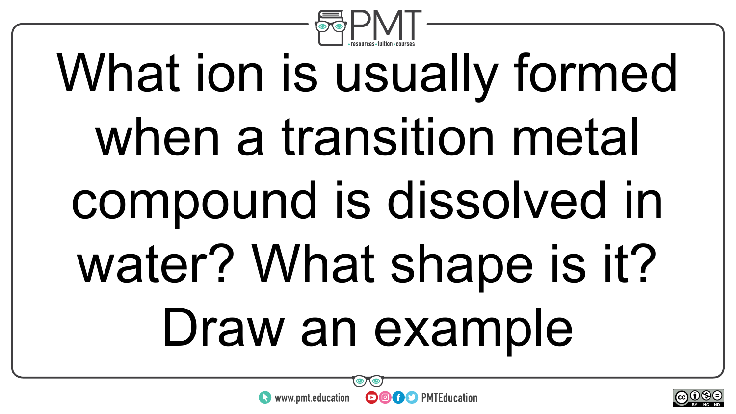

## What ion is usually formed when a transition metal compound is dissolved in water? What shape is it? Draw an example





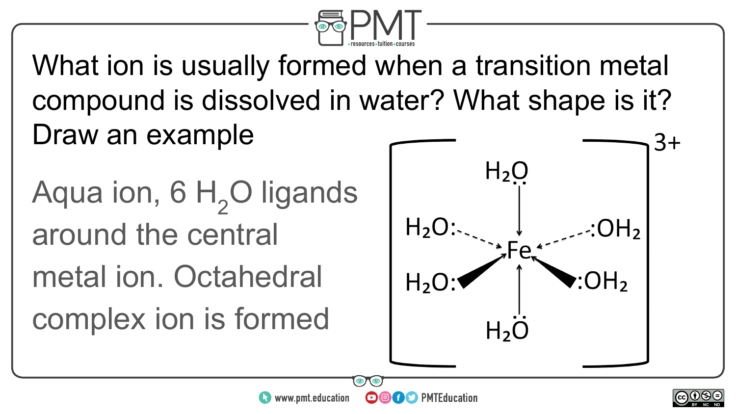

What ion is usually formed when a transition metal compound is dissolved in water? What shape is it? Draw an example

www.pmt.education

 $\boldsymbol{\Theta}$ 

Aqua ion, 6  $H$ <sub>2</sub>O ligands around the central metal ion. Octahedral complex ion is formed



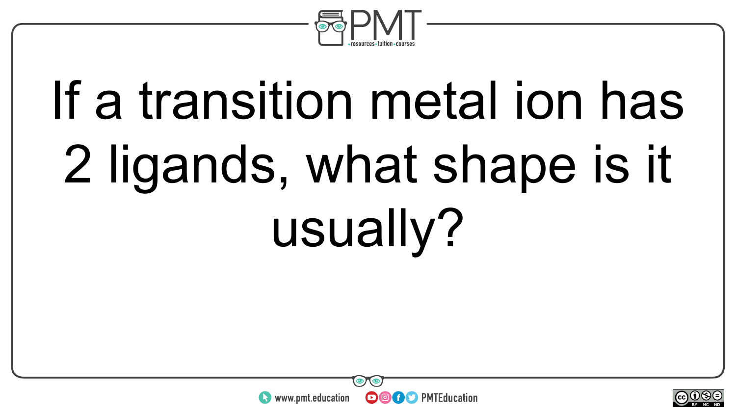

## If a transition metal ion has 2 ligands, what shape is it usually?



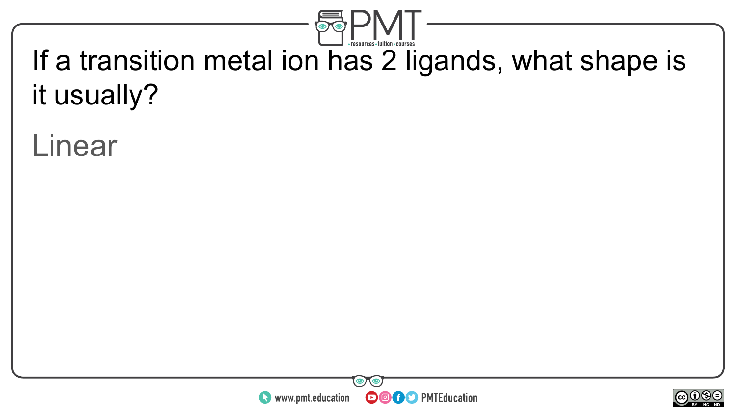

### If a transition metal ion has 2 ligands, what shape is it usually?

#### Linear



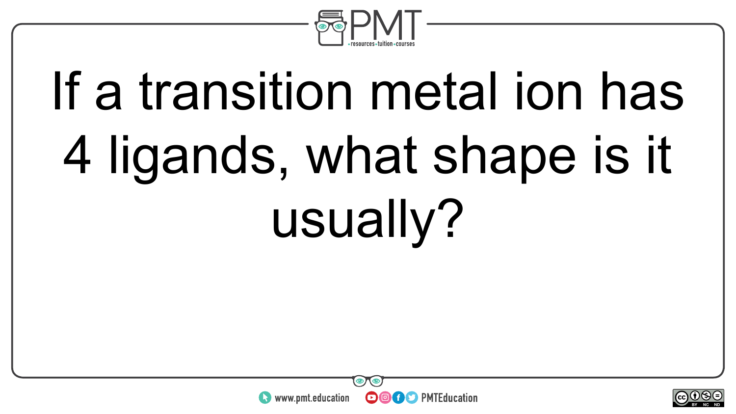

## If a transition metal ion has 4 ligands, what shape is it usually?



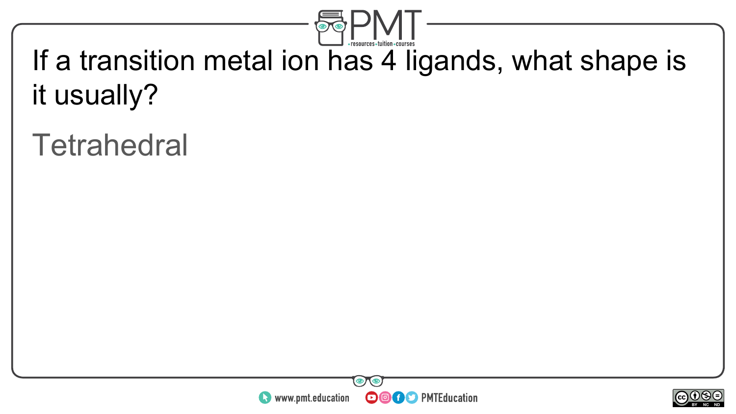

#### If a transition metal ion has 4 ligands, what shape is it usually?

### **Tetrahedral**



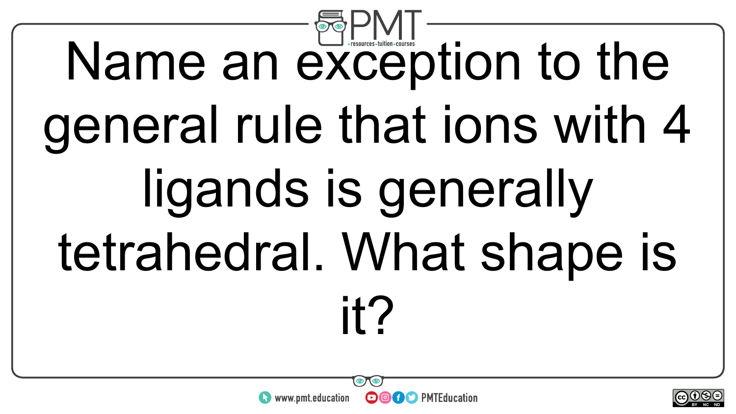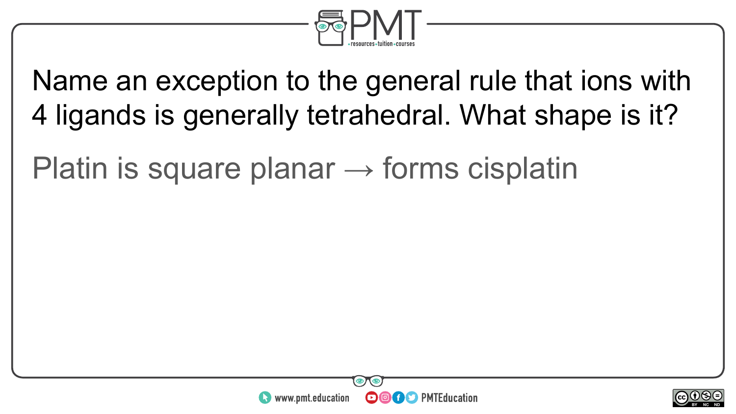

Name an exception to the general rule that ions with 4 ligands is generally tetrahedral. What shape is it?

Platin is square planar  $\rightarrow$  forms cisplatin



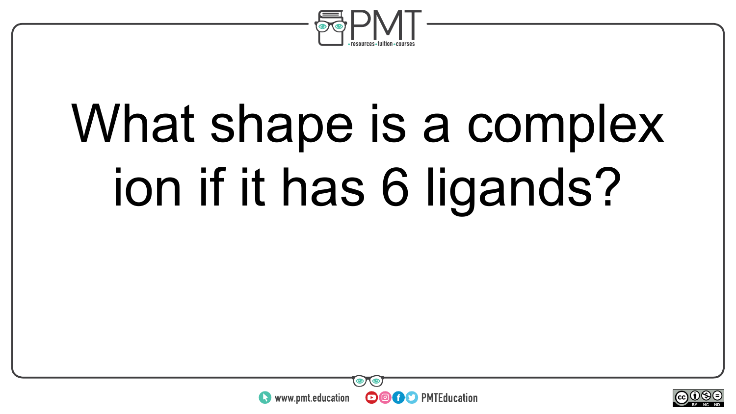

### What shape is a complex ion if it has 6 ligands?



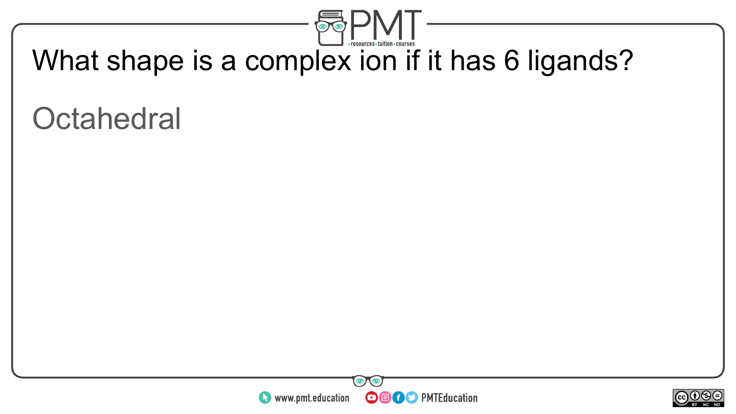

#### What shape is a complex ion if it has 6 ligands?

### **Octahedral**



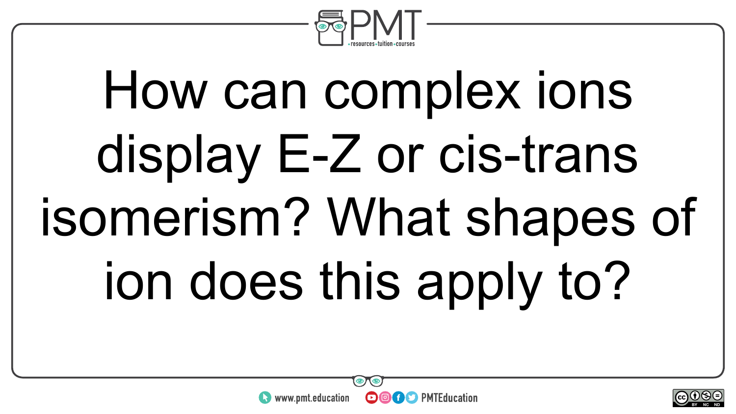

# How can complex ions display E-Z or cis-trans isomerism? What shapes of ion does this apply to?

**OOOO** PMTEducation



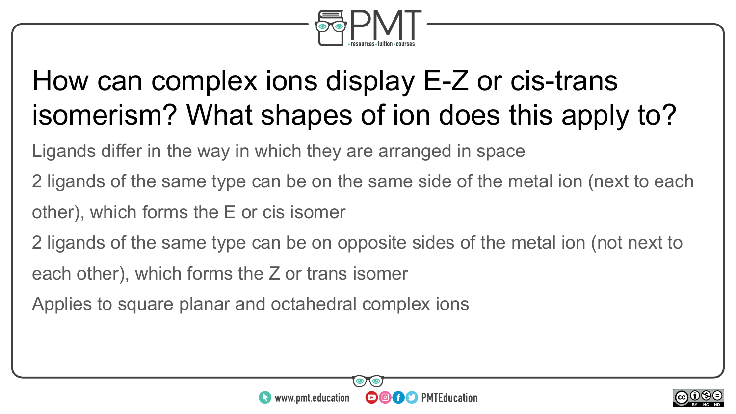

#### How can complex ions display E-Z or cis-trans isomerism? What shapes of ion does this apply to?

Ligands differ in the way in which they are arranged in space

- 2 ligands of the same type can be on the same side of the metal ion (next to each other), which forms the E or cis isomer
- 2 ligands of the same type can be on opposite sides of the metal ion (not next to
- each other), which forms the Z or trans isomer
- Applies to square planar and octahedral complex ions



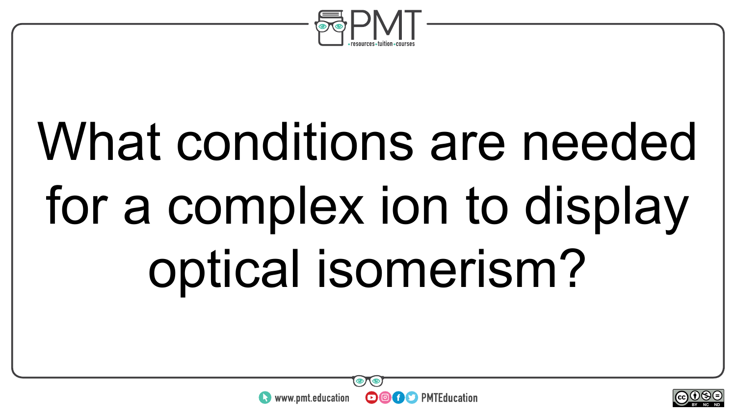

## What conditions are needed for a complex ion to display optical isomerism?

**OOOO D** PMTEducation



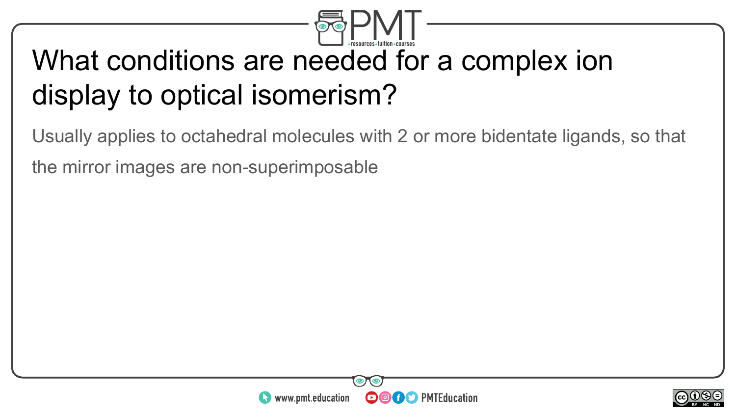

#### What conditions are needed for a complex ion display to optical isomerism?

Usually applies to octahedral molecules with 2 or more bidentate ligands, so that the mirror images are non-superimposable



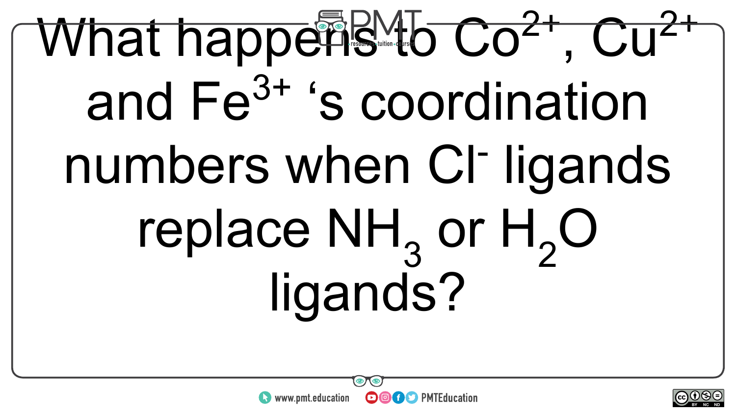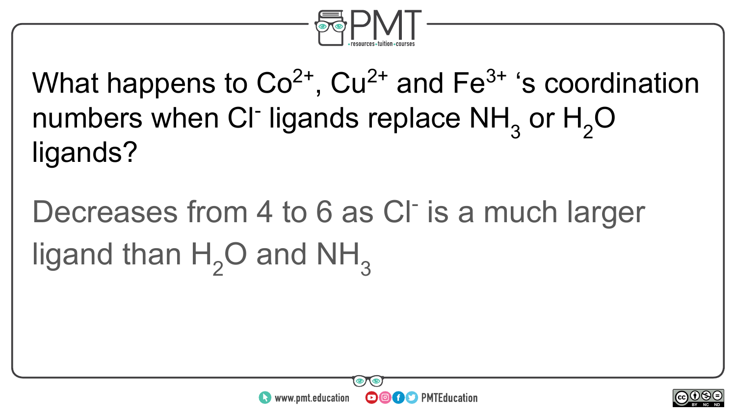

### What happens to  $Co^{2+}$ ,  $Cu^{2+}$  and  $Fe^{3+}$  's coordination numbers when CI<sup>-</sup> ligands replace  $NH<sub>3</sub>$  or  $H<sub>2</sub>O$ ligands?

Decreases from 4 to 6 as CI<sup>-</sup> is a much larger ligand than  $H_2O$  and NH<sub>3</sub>



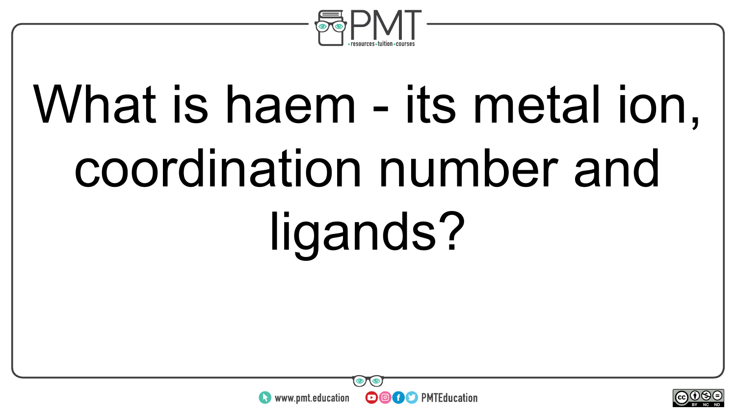

# What is haem - its metal ion, coordination number and ligands?



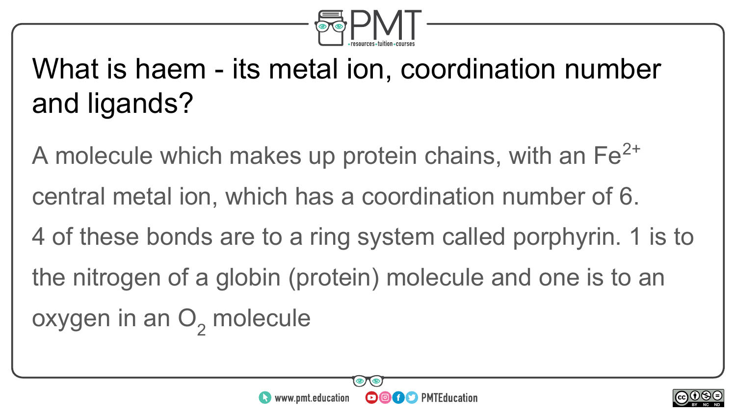

### What is haem - its metal ion, coordination number and ligands?

A molecule which makes up protein chains, with an  $Fe<sup>2+</sup>$ central metal ion, which has a coordination number of 6. 4 of these bonds are to a ring system called porphyrin. 1 is to the nitrogen of a globin (protein) molecule and one is to an oxygen in an  $\mathrm{O}_2^{}$  molecule



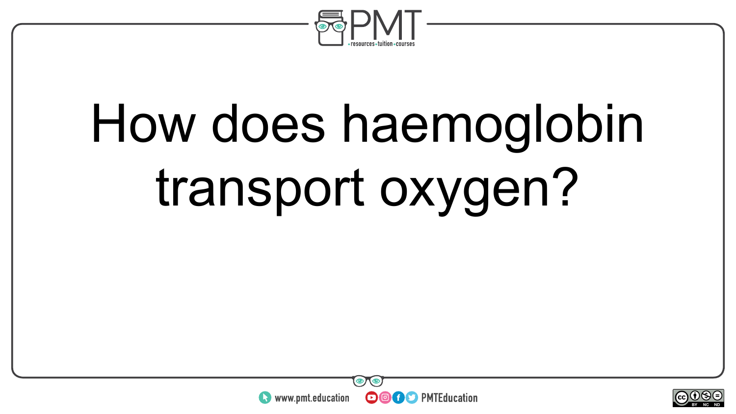

## How does haemoglobin transport oxygen?



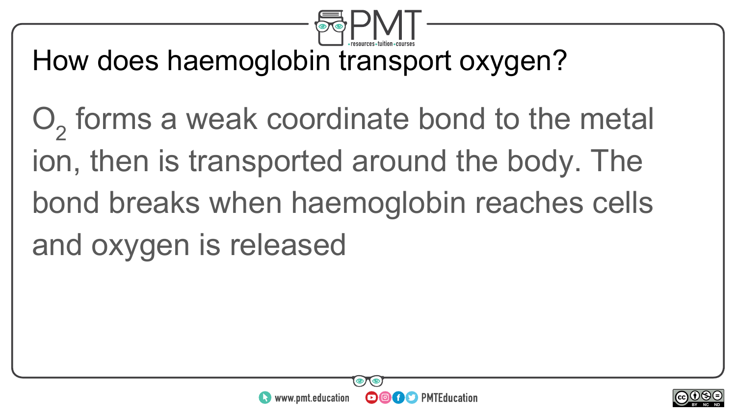

How does haemoglobin transport oxygen?

 $O<sub>2</sub>$  forms a weak coordinate bond to the metal ion, then is transported around the body. The bond breaks when haemoglobin reaches cells and oxygen is released



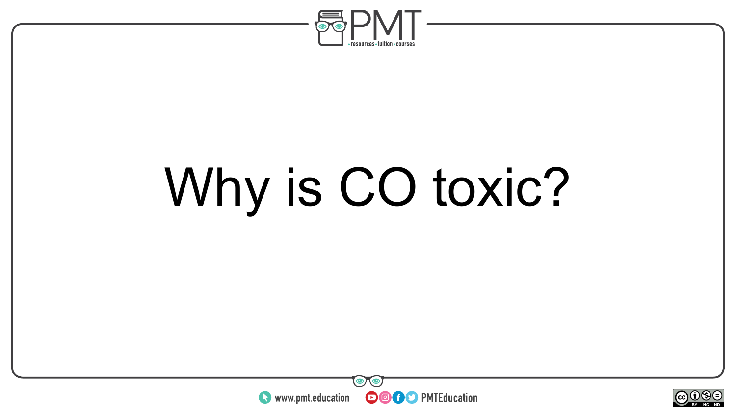

### Why is CO toxic?



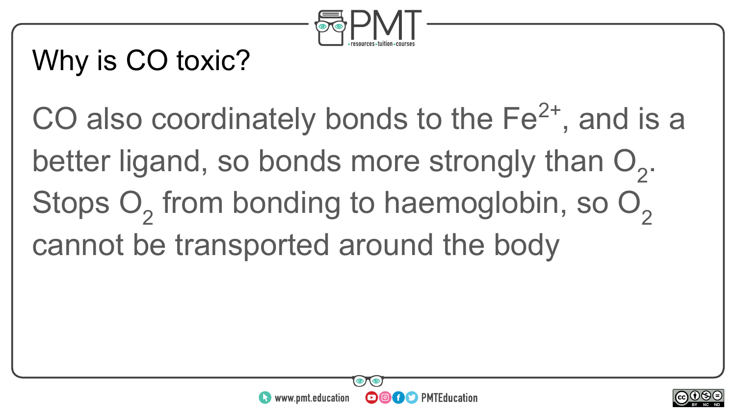

### Why is CO toxic?

CO also coordinately bonds to the  $Fe<sup>2+</sup>$ , and is a better ligand, so bonds more strongly than  $O_2$ . Stops  $O_2$  from bonding to haemoglobin, so  $O_2$ cannot be transported around the body



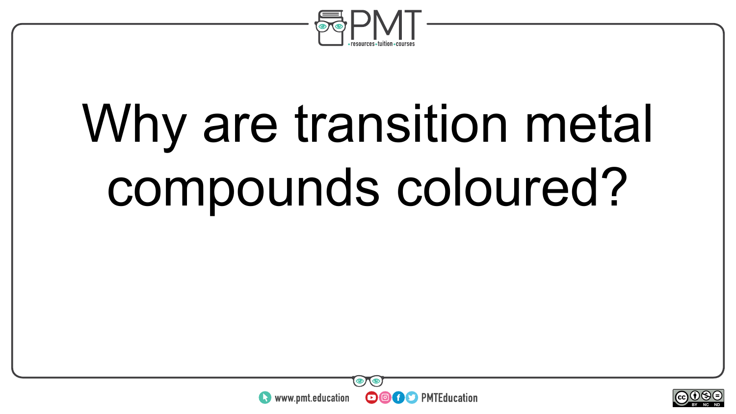

### Why are transition metal compounds coloured?



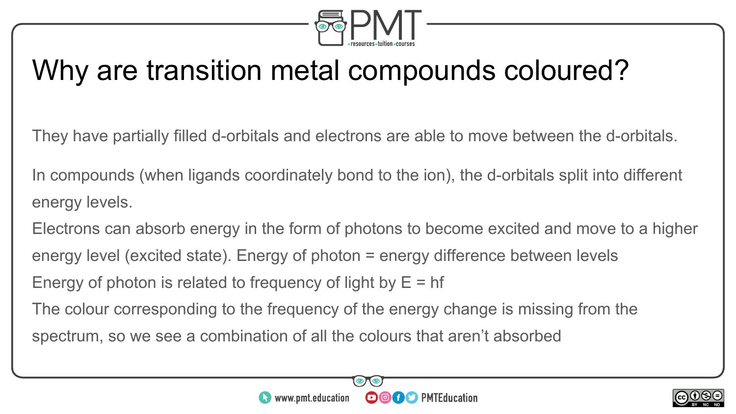

#### Why are transition metal compounds coloured?

They have partially filled d-orbitals and electrons are able to move between the d-orbitals.

In compounds (when ligands coordinately bond to the ion), the d-orbitals split into different energy levels.

Electrons can absorb energy in the form of photons to become excited and move to a higher energy level (excited state). Energy of photon = energy difference between levels Energy of photon is related to frequency of light by  $E = hf$ 

The colour corresponding to the frequency of the energy change is missing from the spectrum, so we see a combination of all the colours that aren't absorbed



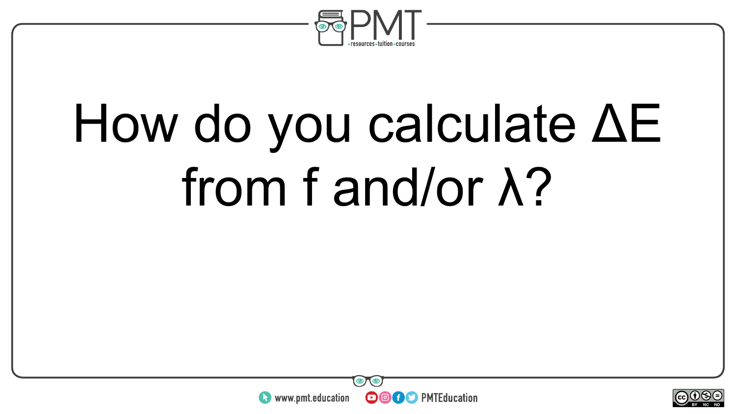

### How do you calculate ΔE from f and/or λ?



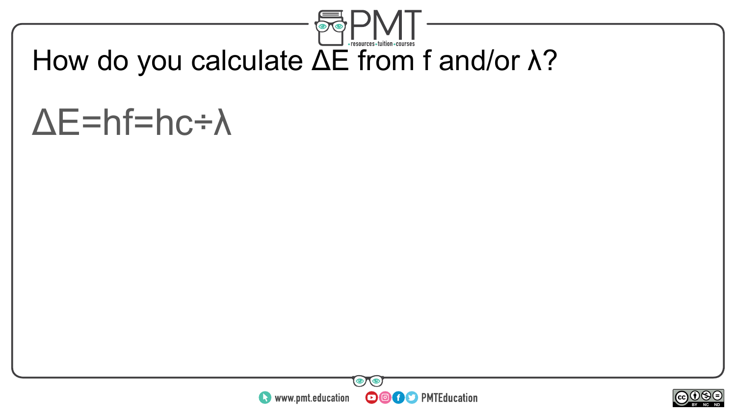

#### How do you calculate ΔE from f and/or λ?

### ΔE=hf=hc÷λ



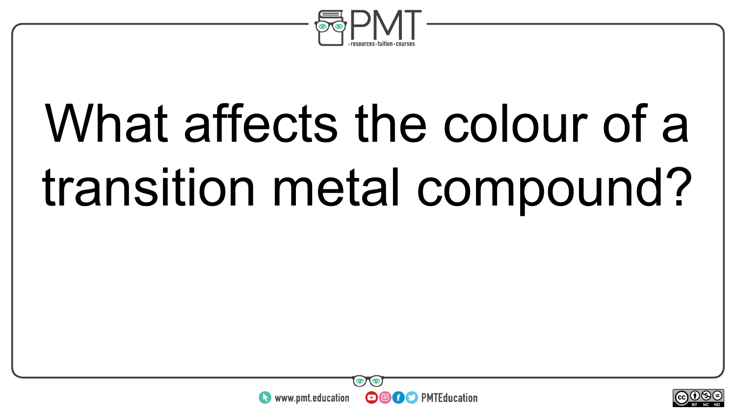

### What affects the colour of a transition metal compound?



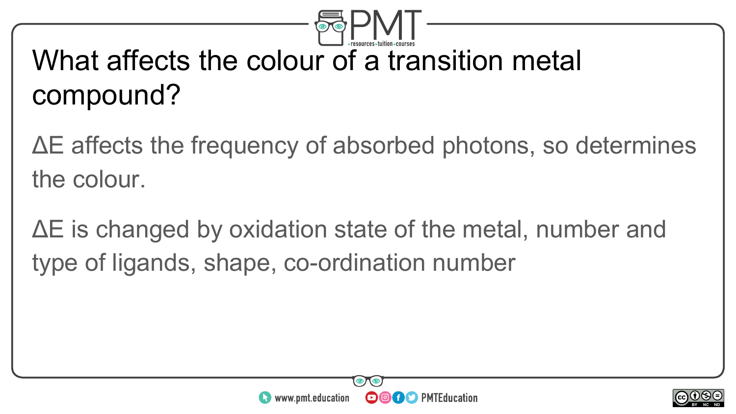

#### What affects the colour of a transition metal compound?

ΔE affects the frequency of absorbed photons, so determines the colour.

ΔE is changed by oxidation state of the metal, number and type of ligands, shape, co-ordination number



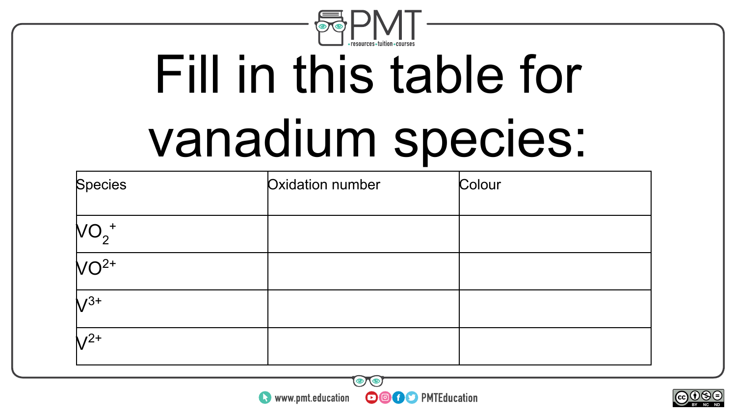

## Fill in this table for vanadium species:

| Species  | Oxidation number | Colour |
|----------|------------------|--------|
| $NO_2^+$ |                  |        |
| $VO2+$   |                  |        |
| $V^{3+}$ |                  |        |
| $V^{2+}$ |                  |        |

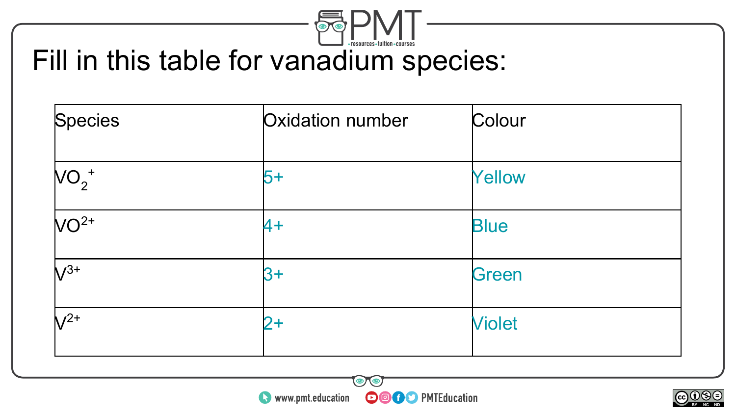

#### Fill in this table for vanadium species:

| Oxidation number | Colour        |  |
|------------------|---------------|--|
| 5+               | <b>Yellow</b> |  |
| $4+$             | <b>Blue</b>   |  |
| $3+$             | Green         |  |
| 2+               | <b>Violet</b> |  |
|                  |               |  |



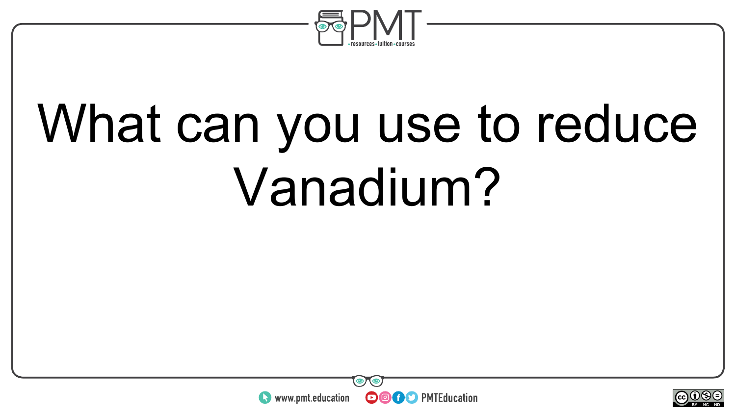

## What can you use to reduce Vanadium?



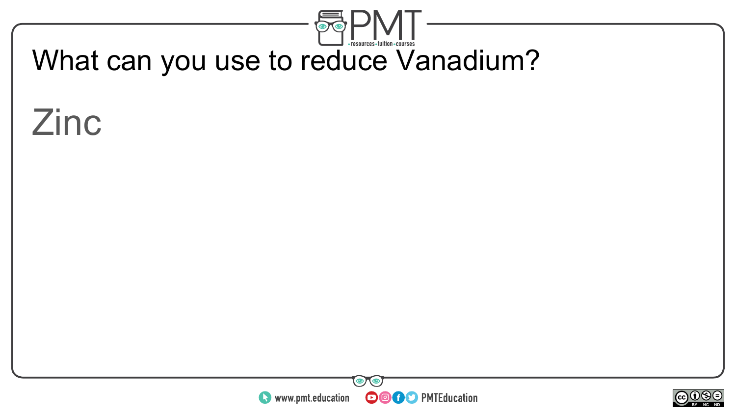

#### What can you use to reduce Vanadium?

#### Zinc



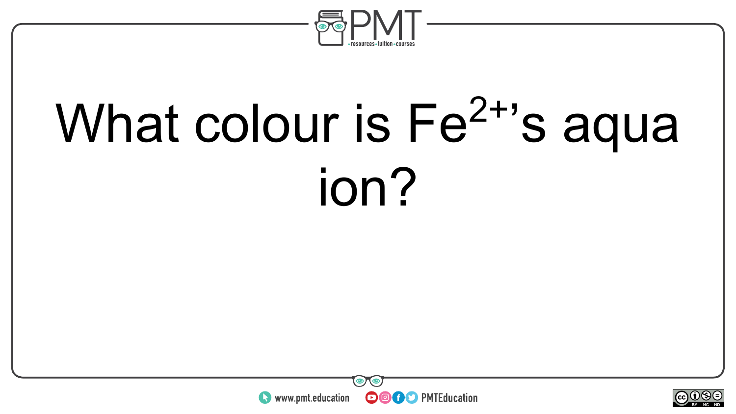

## What colour is  $Fe<sup>2+</sup>$ 's aqua ion?



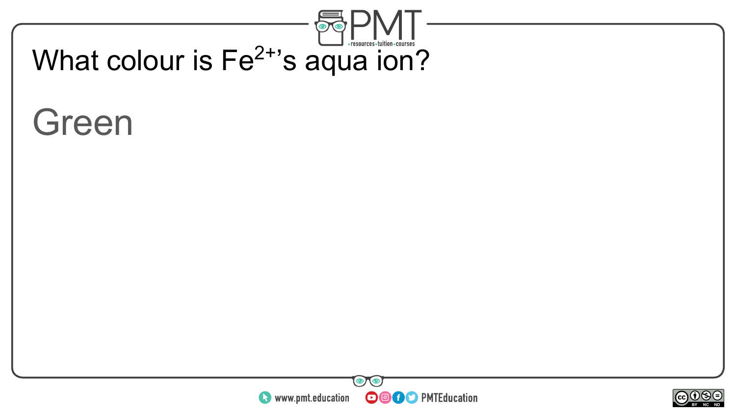



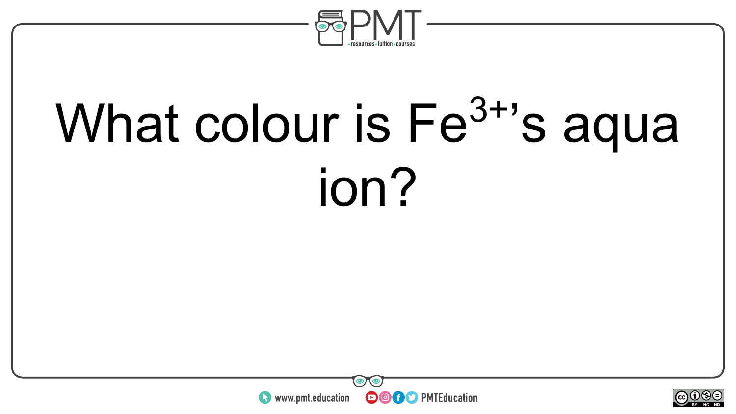

## What colour is Fe<sup>3+</sup>'s aqua ion?



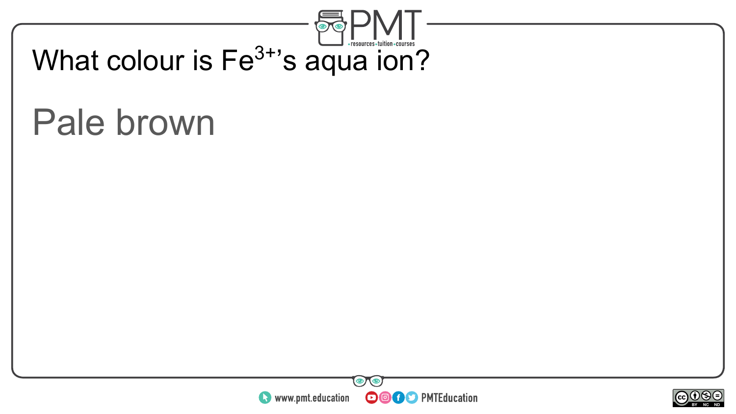

#### Pale brown



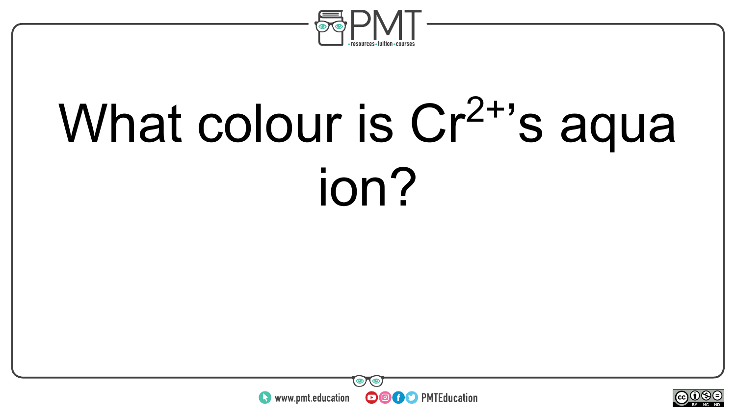

## What colour is Cr<sup>2+</sup>'s aqua ion?



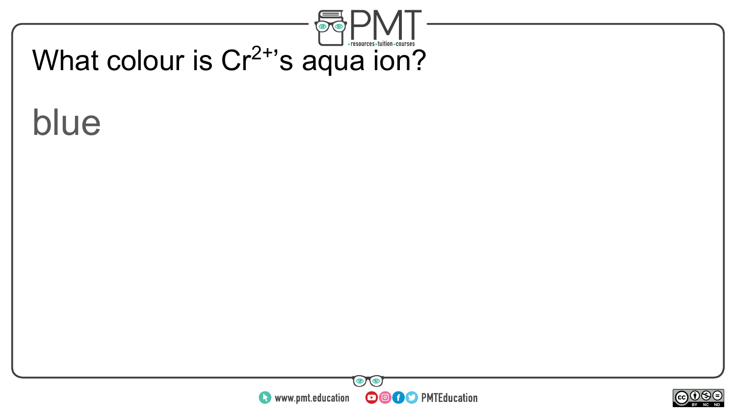



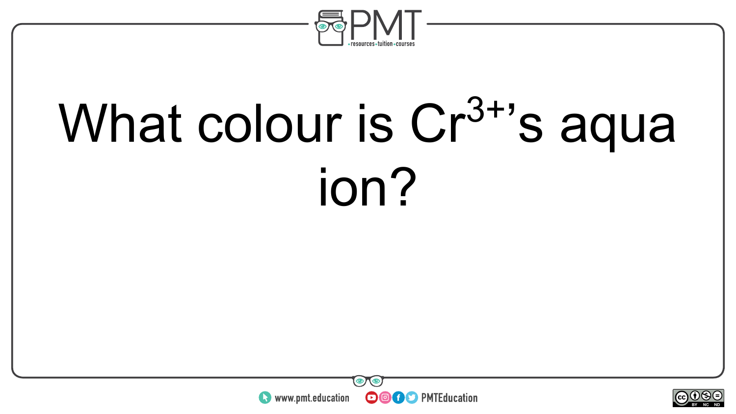

## What colour is  $Cr^{3+}$ 's aqua ion?



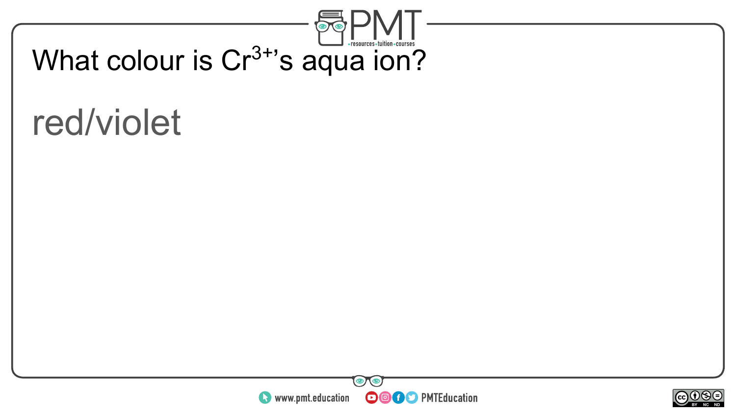

### What colour is Cr<sup>3+</sup>'s aqua ion?

#### red/violet



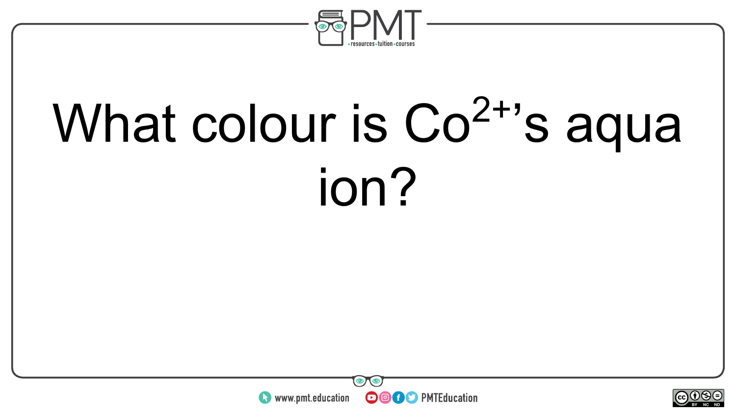

## What colour is Co<sup>2+</sup>'s aqua ion?



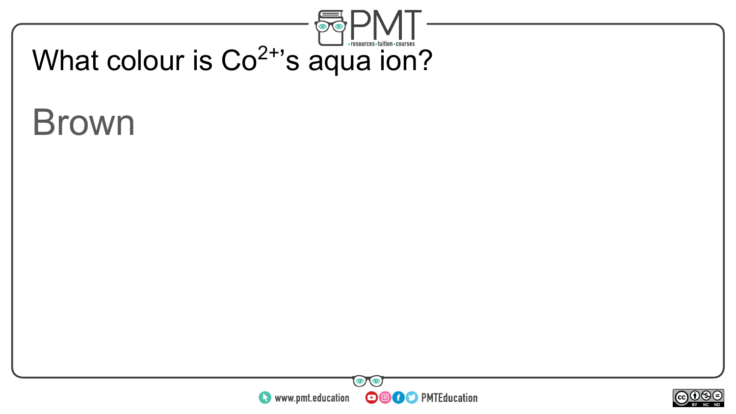

### Brown



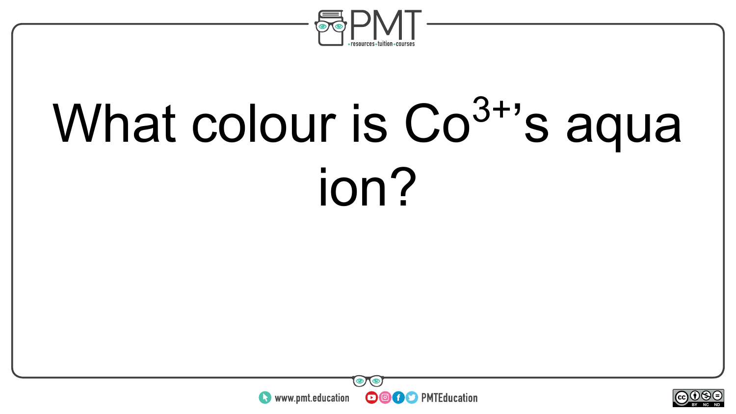

## What colour is Co<sup>3+</sup>'s aqua ion?



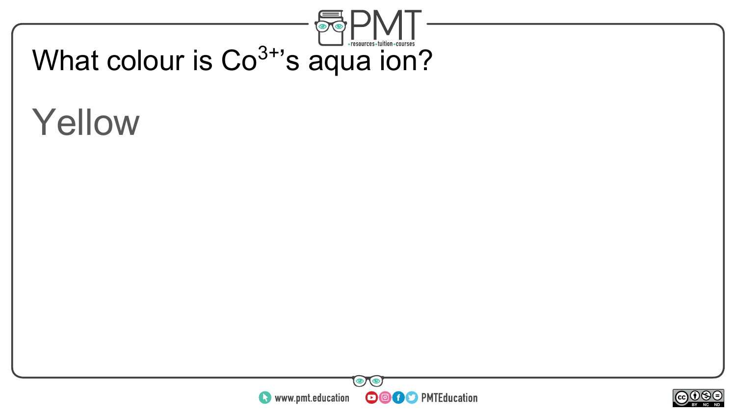

### Yellow



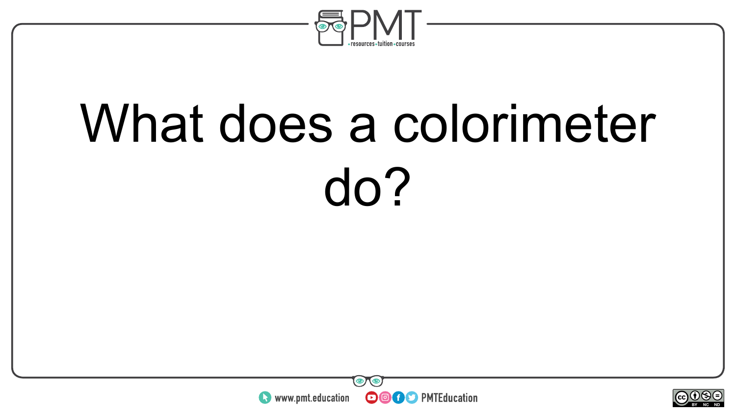

### What does a colorimeter do?



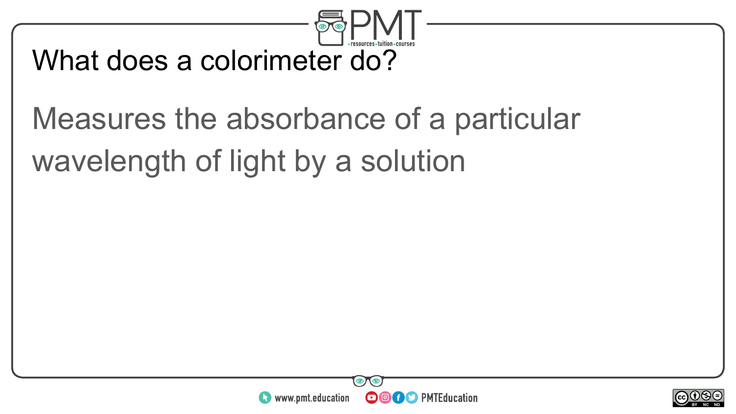

#### What does a colorimeter do?

#### Measures the absorbance of a particular wavelength of light by a solution



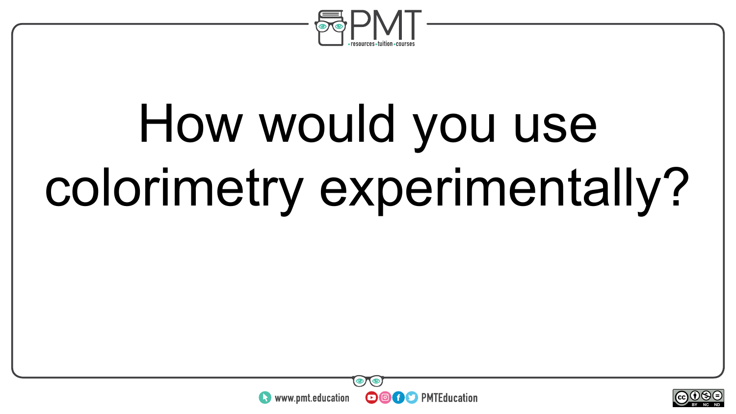

## How would you use colorimetry experimentally?



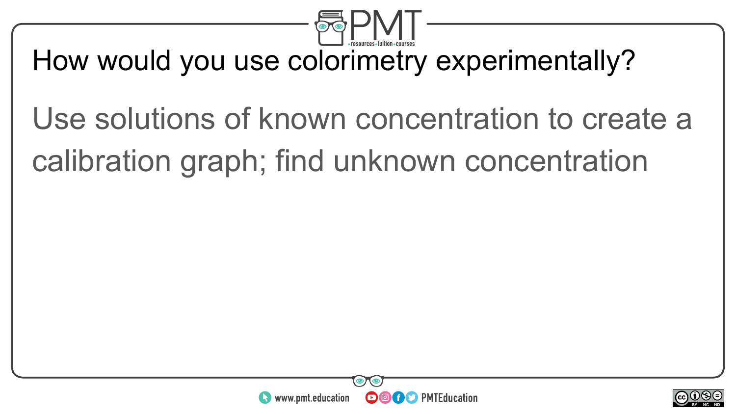

#### How would you use colorimetry experimentally?

#### Use solutions of known concentration to create a calibration graph; find unknown concentration



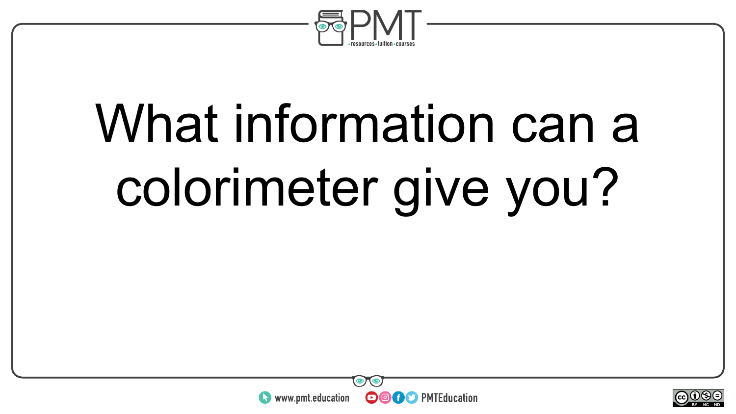

# What information can a colorimeter give you?



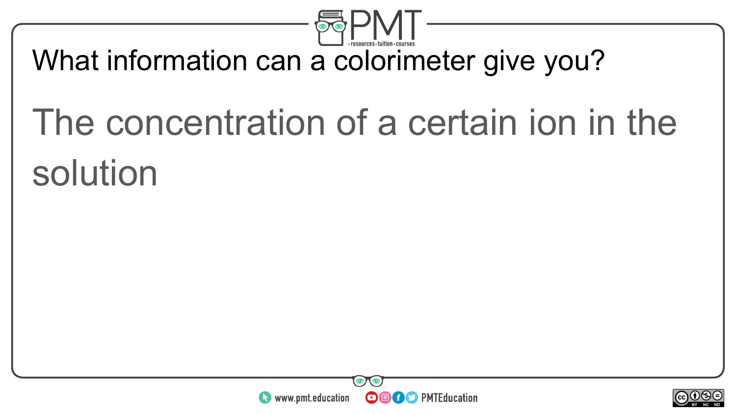

#### What information can a colorimeter give you?

### The concentration of a certain ion in the solution



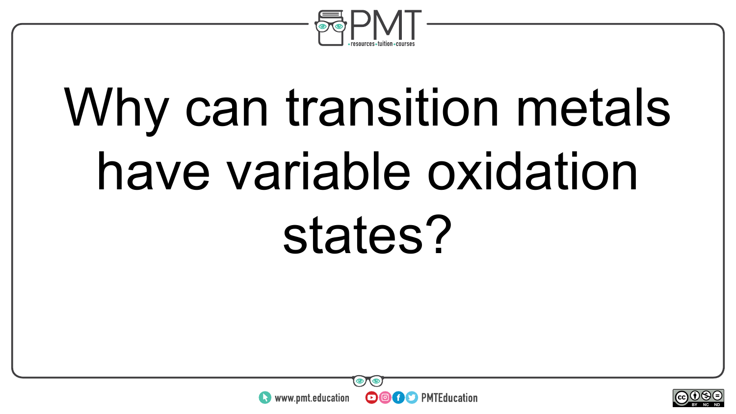

## Why can transition metals have variable oxidation states?



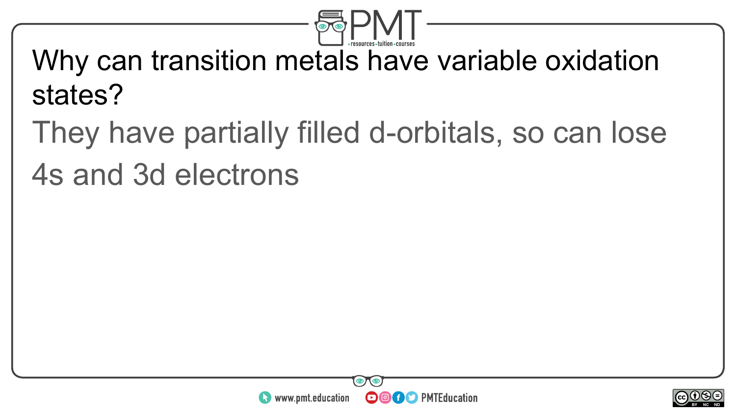

#### Why can transition metals have variable oxidation states?

#### They have partially filled d-orbitals, so can lose 4s and 3d electrons



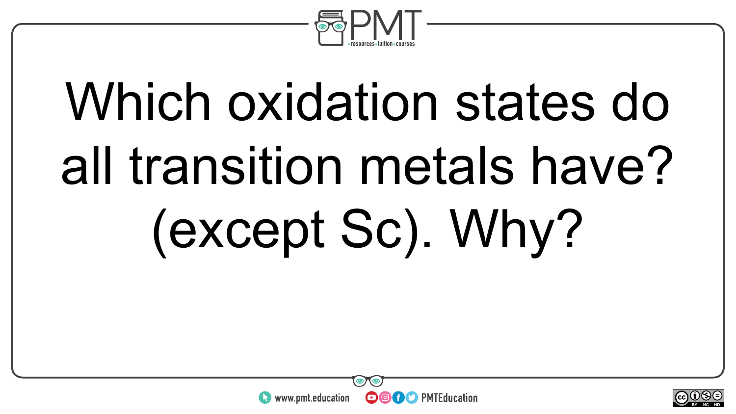

# Which oxidation states do all transition metals have? (except Sc). Why?



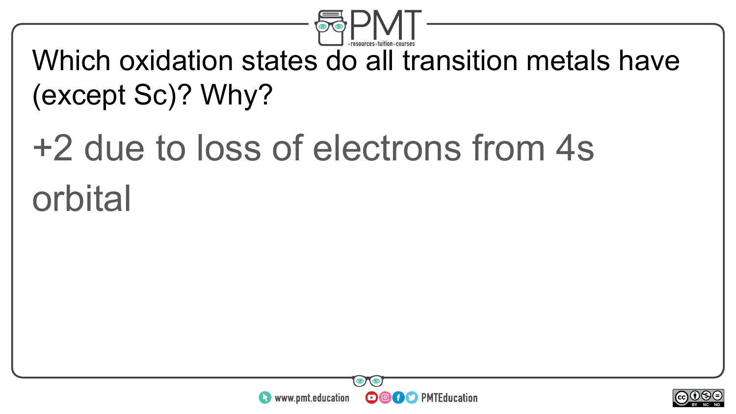

#### Which oxidation states do all transition metals have (except Sc)? Why?

### +2 due to loss of electrons from 4s orbital



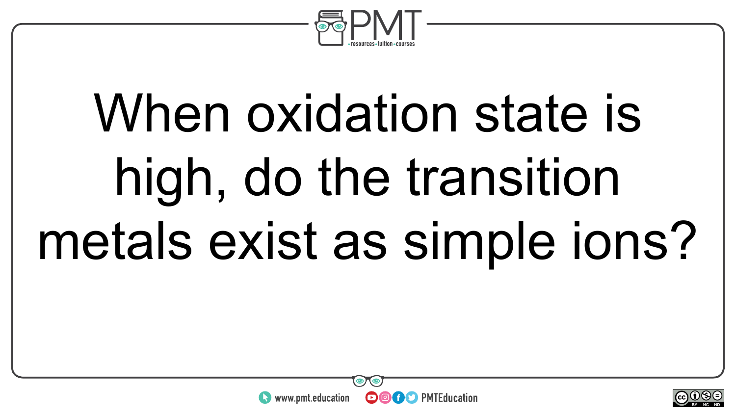

# When oxidation state is high, do the transition metals exist as simple ions?



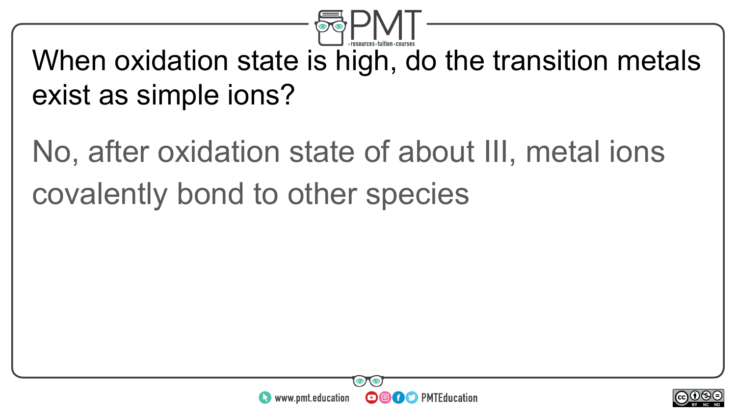

#### When oxidation state is high, do the transition metals exist as simple ions?

#### No, after oxidation state of about III, metal ions covalently bond to other species



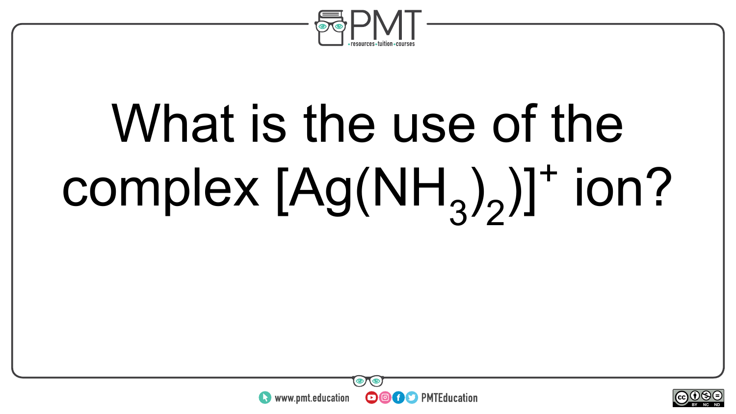

# What is the use of the  $complex [Ag(NH<sub>3</sub>)<sub>2</sub>)]<sup>+</sup> ion?$



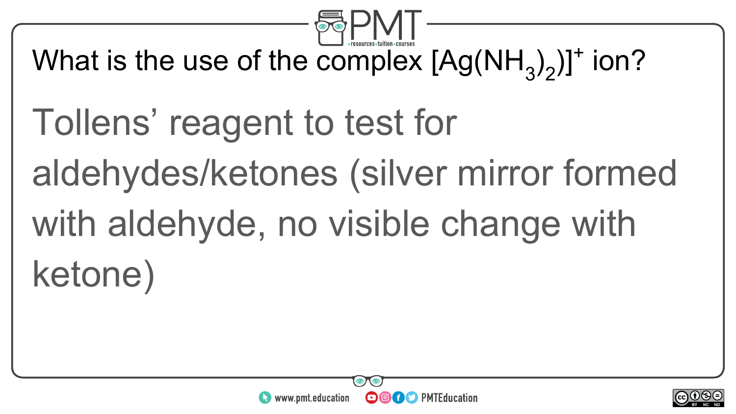

What is the use of the complex  $[Ag(NH_3)_2]$ <sup>+</sup> ion?

Tollens' reagent to test for aldehydes/ketones (silver mirror formed with aldehyde, no visible change with ketone)



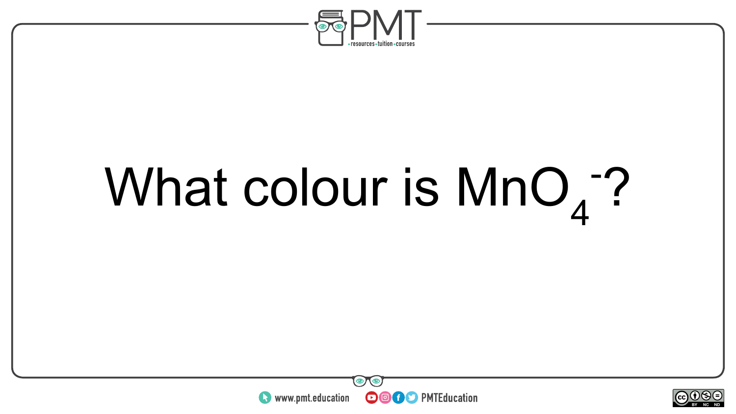

# What colour is  $MnO<sub>4</sub>$ ?



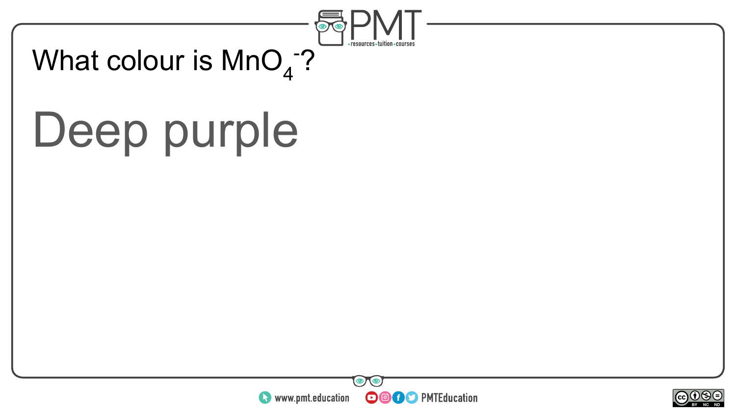

#### What colour is  $\mathsf{MnO}_4$ -? $^2$

### Deep purple



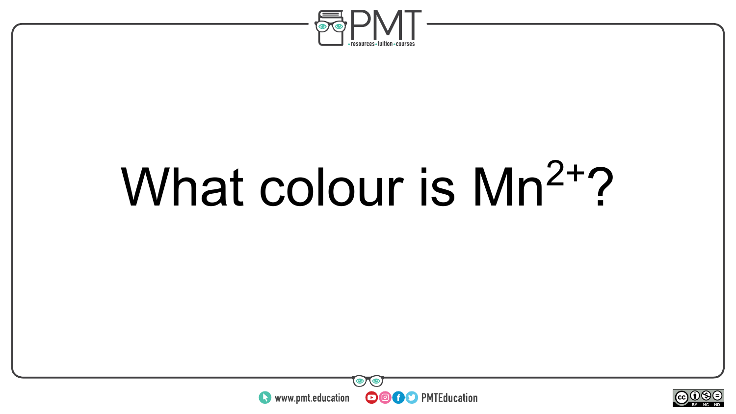

### What colour is Mn<sup>2+</sup>?



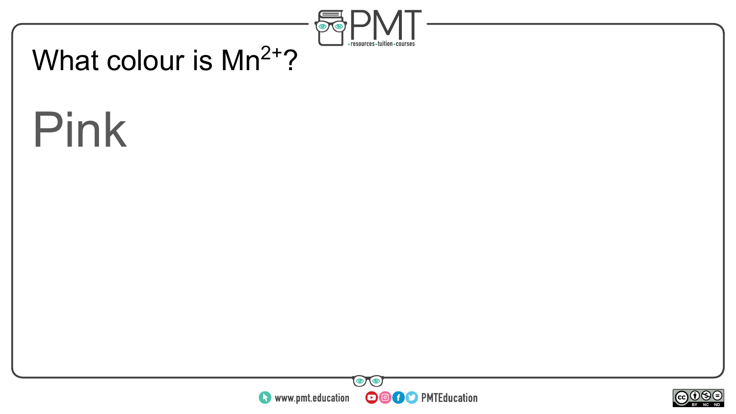

#### What colour is  $Mn^{2+}$ ?

### Pink



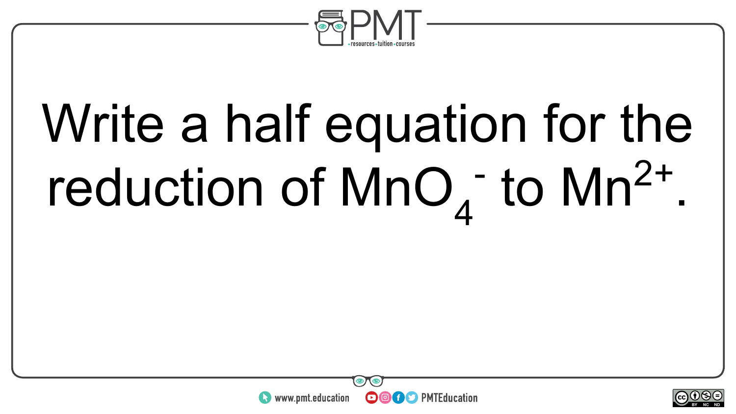

# Write a half equation for the reduction of  $MnO<sub>4</sub>$  to  $Mn<sup>2+</sup>$ .



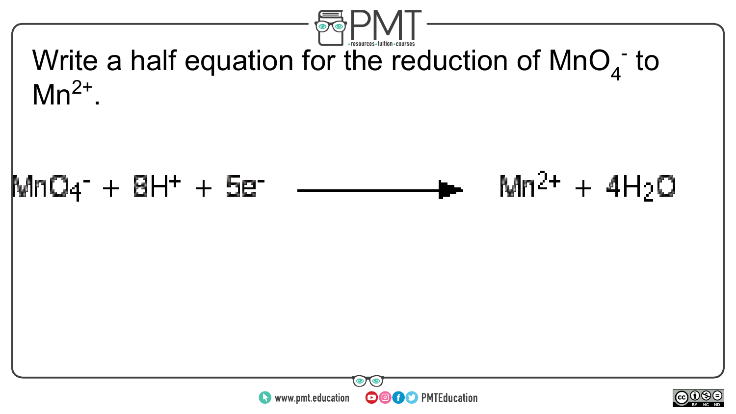

Write a half equation for the reduction of  $MnO<sub>4</sub>$  to  $Mn^{2+}$ .





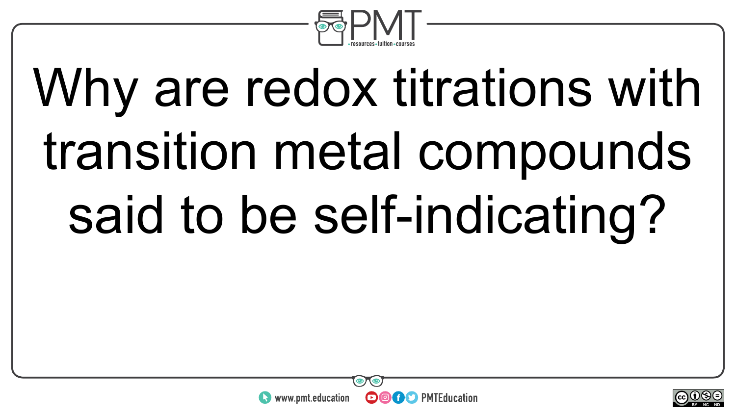

# Why are redox titrations with transition metal compounds said to be self-indicating?



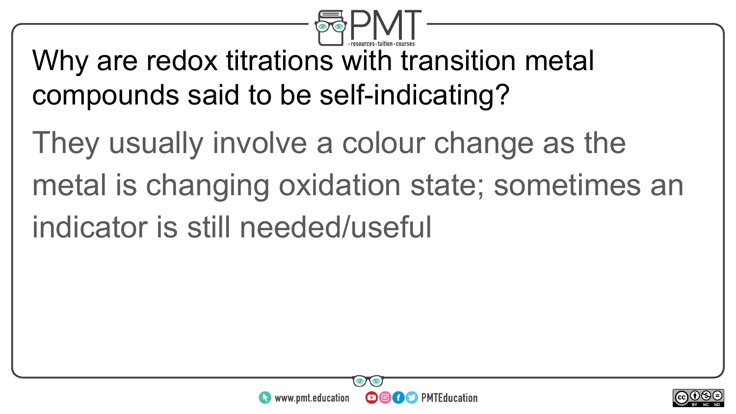

Why are redox titrations with transition metal compounds said to be self-indicating?

They usually involve a colour change as the metal is changing oxidation state; sometimes an indicator is still needed/useful



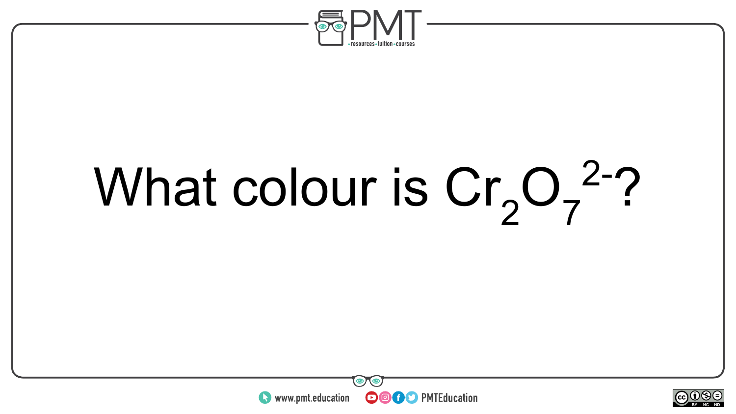

# What colour is  $Cr_2O_7^2$ ?



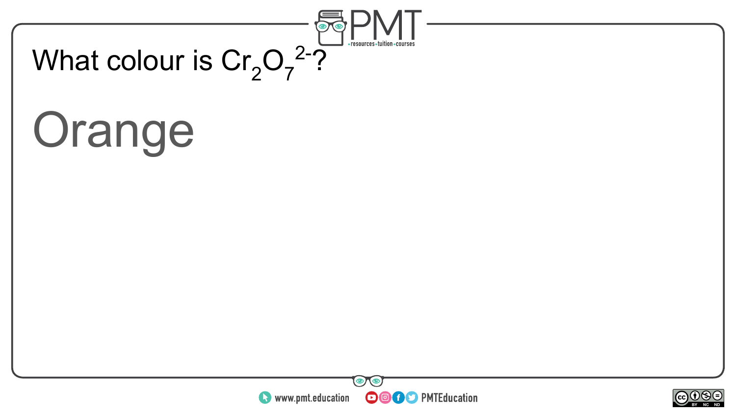

## **Orange**



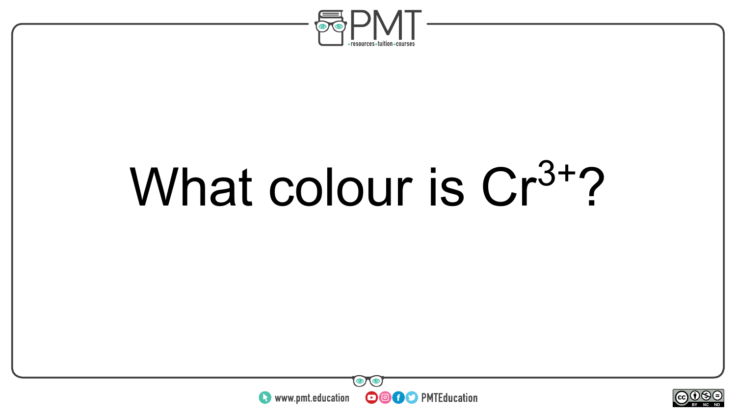

# What colour is Cr<sup>3+</sup>?



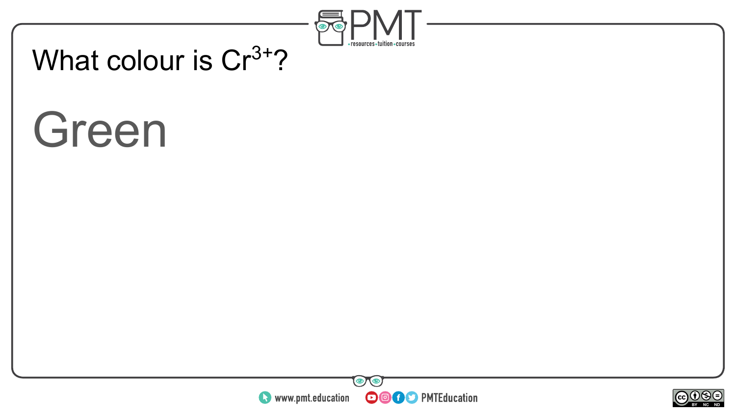

## What colour is  $Cr^{3+}$ ?

## Green



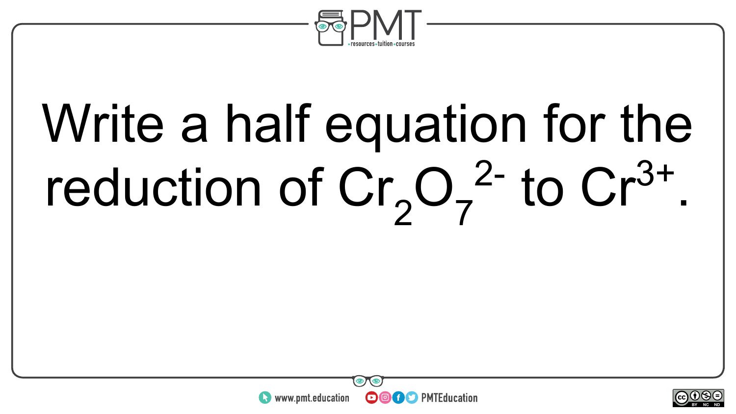

# Write a half equation for the reduction of  $Cr_2O_7^2$  to  $Cr^{3+}$ .



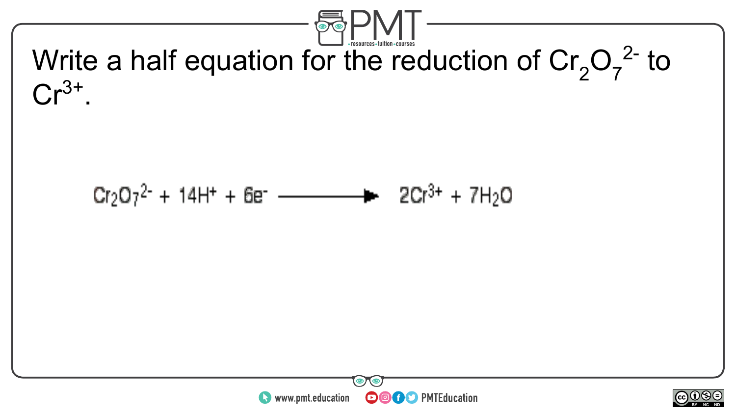

Write a half equation for the reduction of  $Cr_2O_7^2$  to  $Cr^{3+}$ .





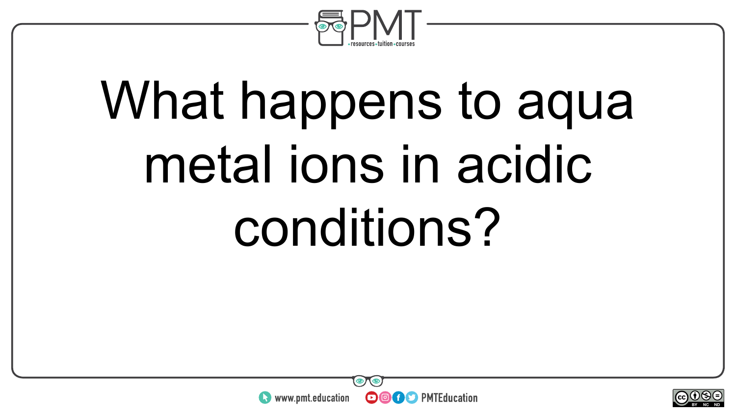

# What happens to aqua metal ions in acidic conditions?



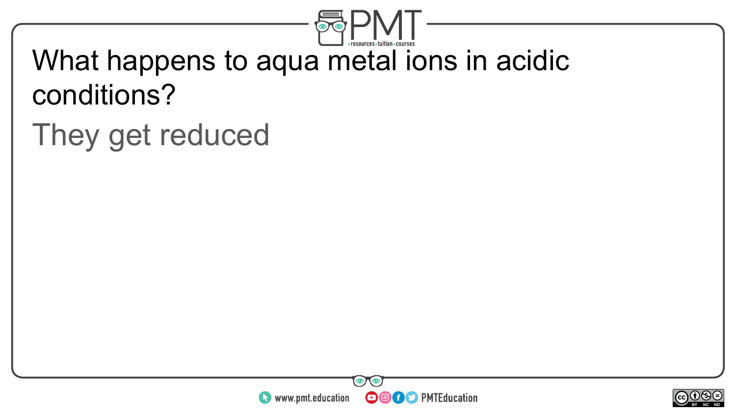

## What happens to aqua metal ions in acidic conditions?

## They get reduced



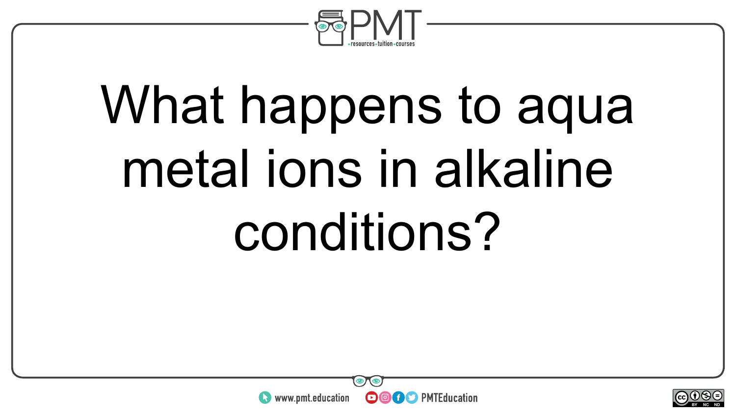

# What happens to aqua metal ions in alkaline conditions?



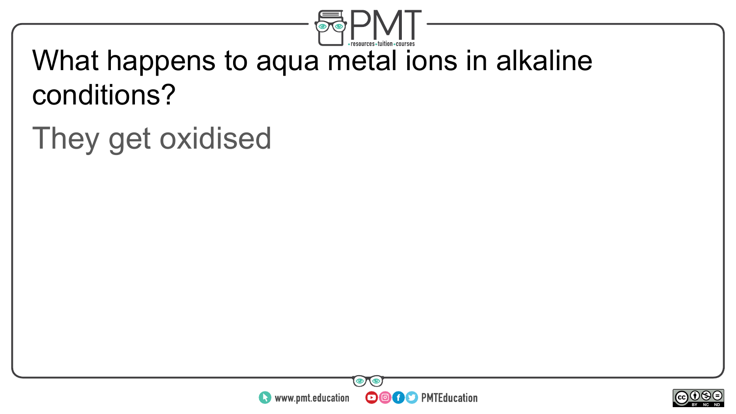

## What happens to aqua metal ions in alkaline conditions?

## They get oxidised



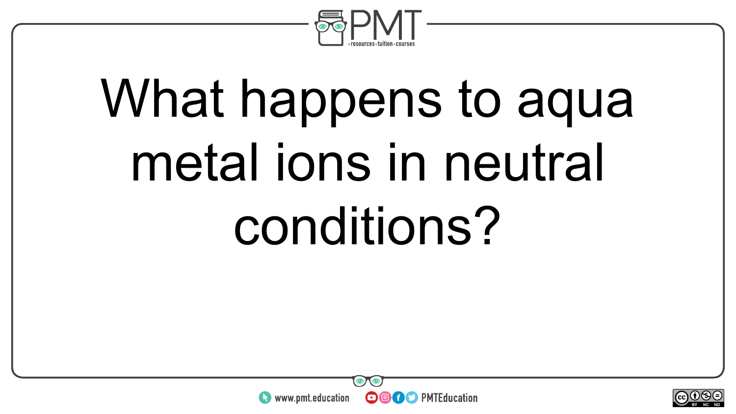

# What happens to aqua metal ions in neutral conditions?



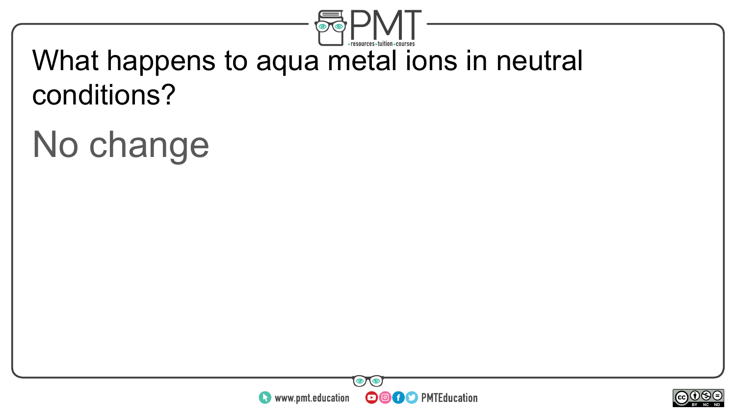

## What happens to aqua metal ions in neutral conditions?

## No change



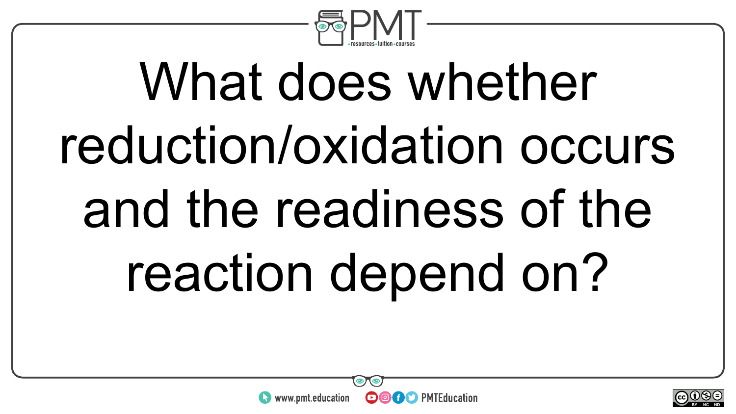

# What does whether reduction/oxidation occurs and the readiness of the reaction depend on?

**OOOO** PMTEducation



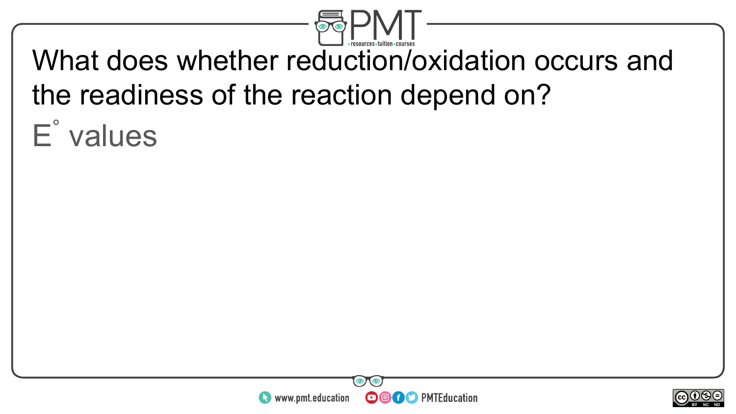

## What does whether reduction/oxidation occurs and the readiness of the reaction depend on?

E ° values



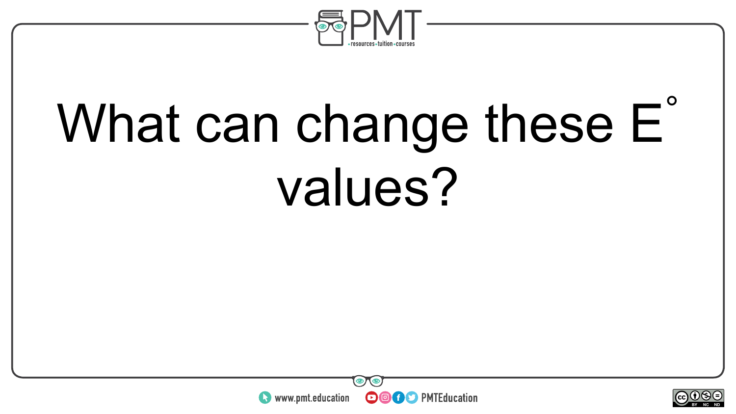

# What can change these E<sup>®</sup> values?



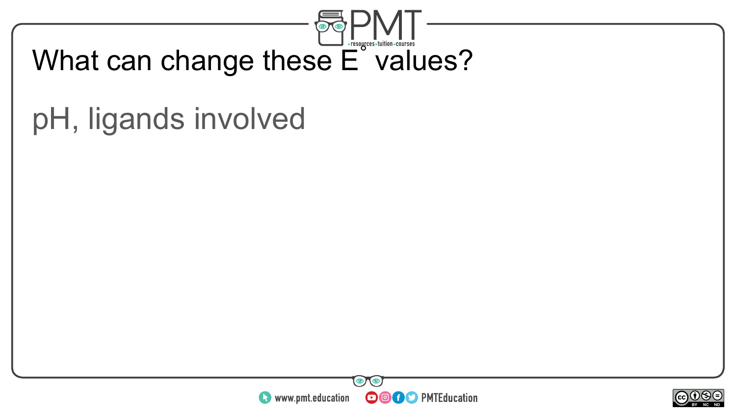

## pH, ligands involved



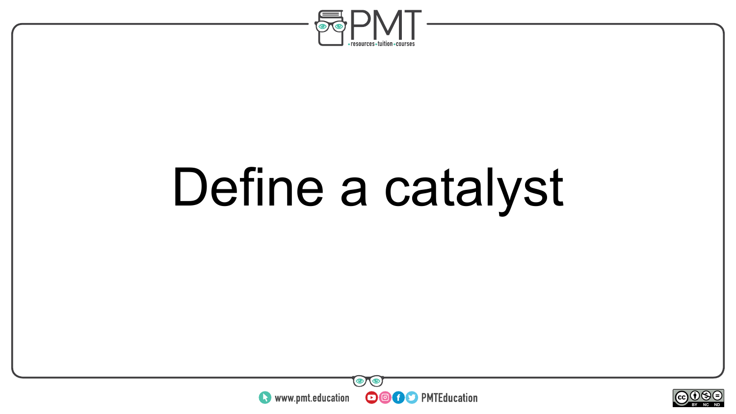

# Define a catalyst



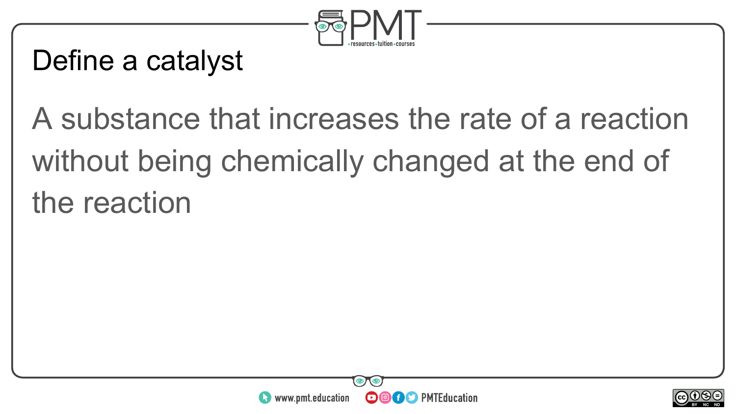

#### Define a catalyst

## A substance that increases the rate of a reaction without being chemically changed at the end of the reaction



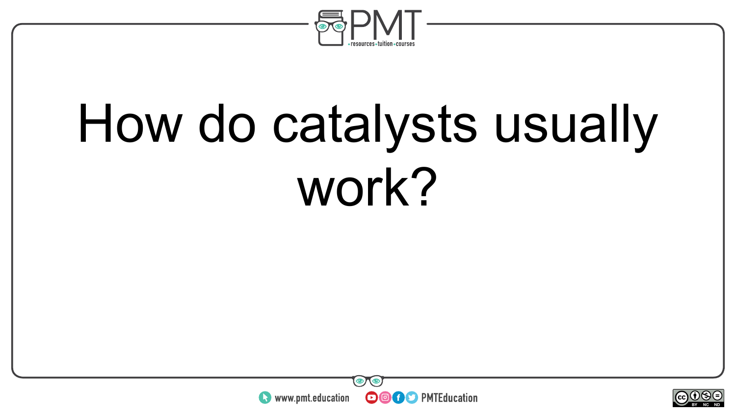

# How do catalysts usually work?



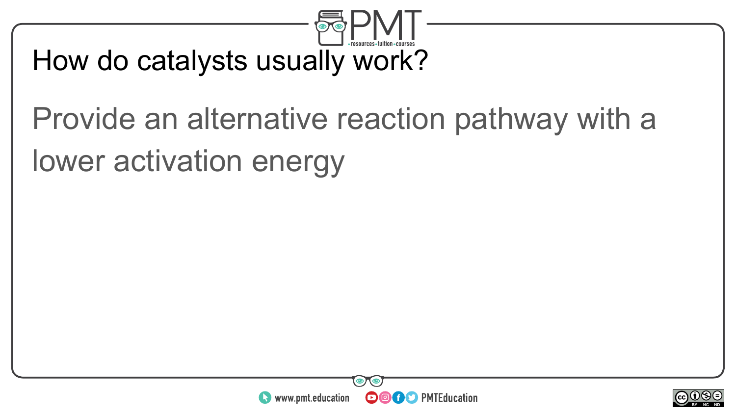

#### How do catalysts usually work?

## Provide an alternative reaction pathway with a lower activation energy



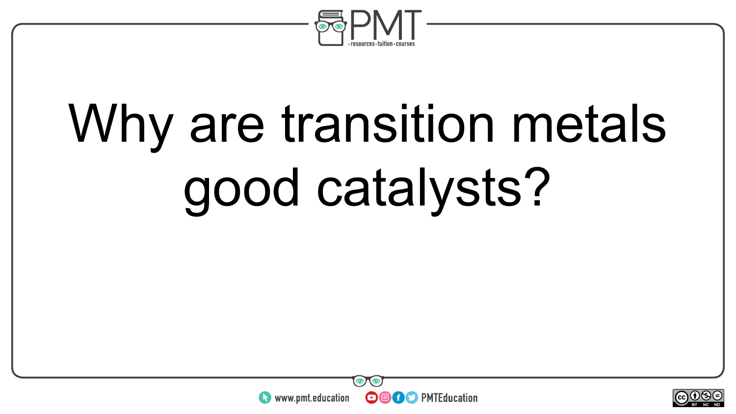

# Why are transition metals good catalysts?



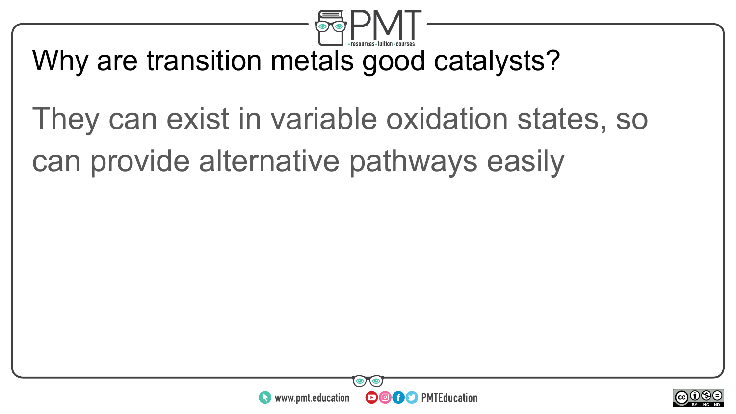

#### Why are transition metals good catalysts?

## They can exist in variable oxidation states, so can provide alternative pathways easily



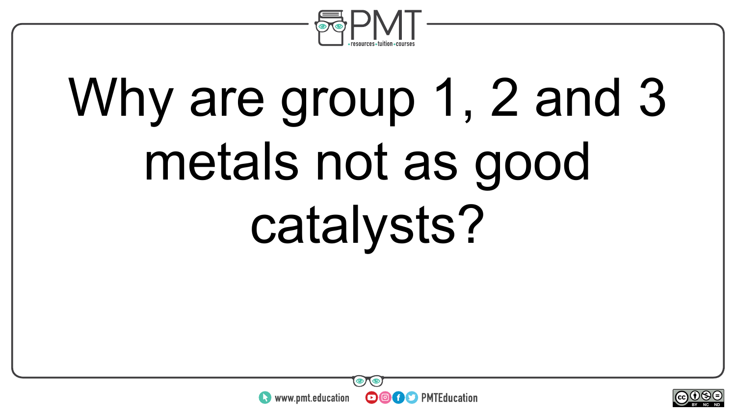

# Why are group 1, 2 and 3 metals not as good catalysts?



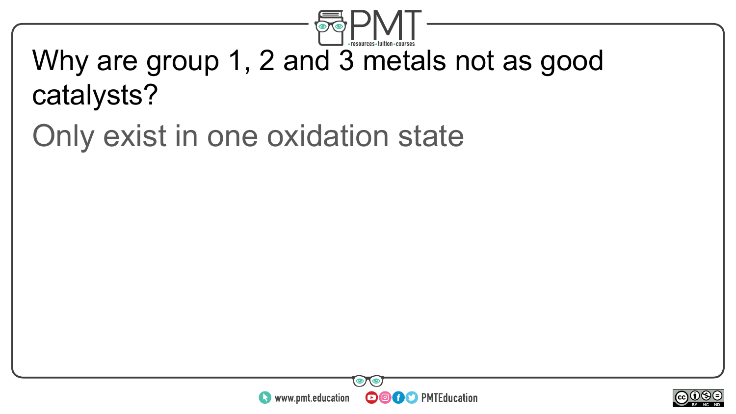

### Why are group 1, 2 and 3 metals not as good catalysts?

## Only exist in one oxidation state



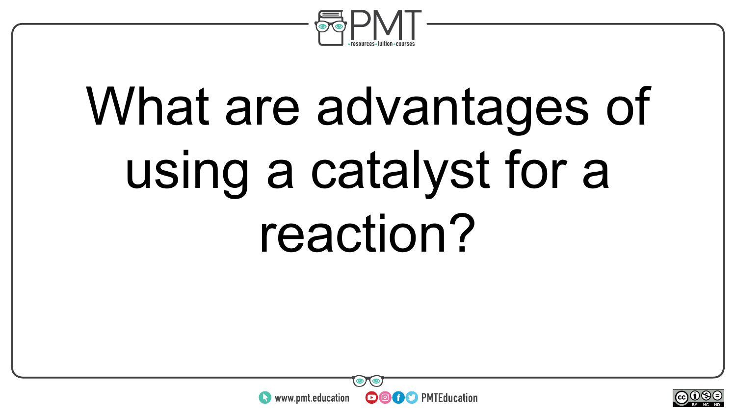

# What are advantages of using a catalyst for a reaction?



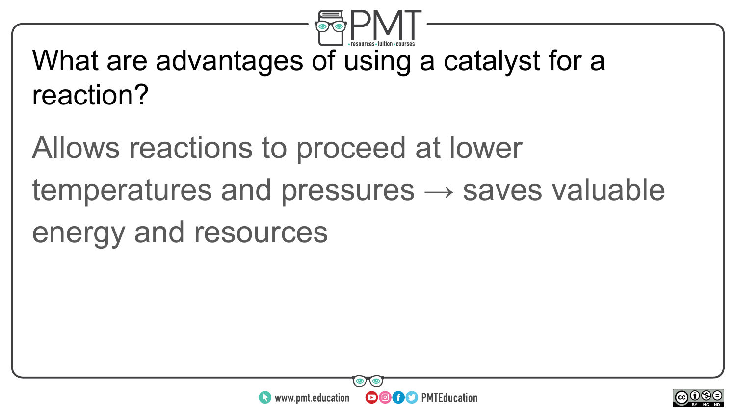

## What are advantages of using a catalyst for a reaction?

Allows reactions to proceed at lower temperatures and pressures  $\rightarrow$  saves valuable energy and resources



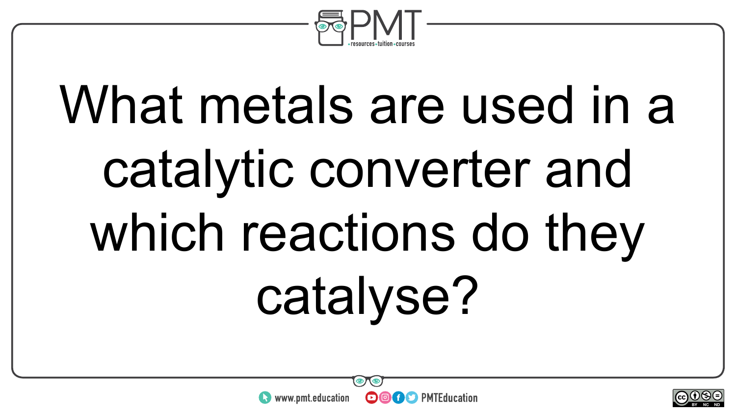

# What metals are used in a catalytic converter and which reactions do they catalyse?



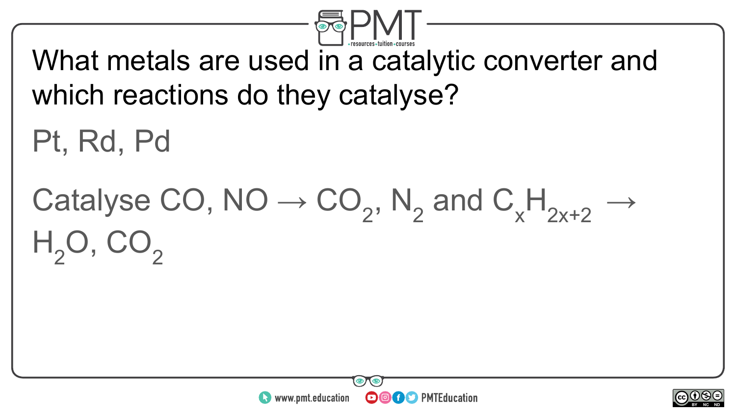

What metals are used in a catalytic converter and which reactions do they catalyse?

Pt, Rd, Pd

#### Catalyse CO, NO  $\rightarrow$  CO<sub>2</sub>, N<sub>2</sub> and C<sub>x</sub>  $x^{\mathsf{H}}_{2x+2} \rightarrow$  $H_2O$ ,



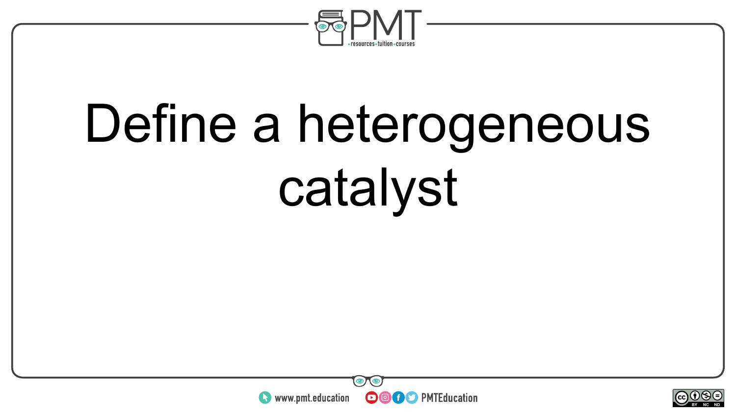

# Define a heterogeneous catalyst



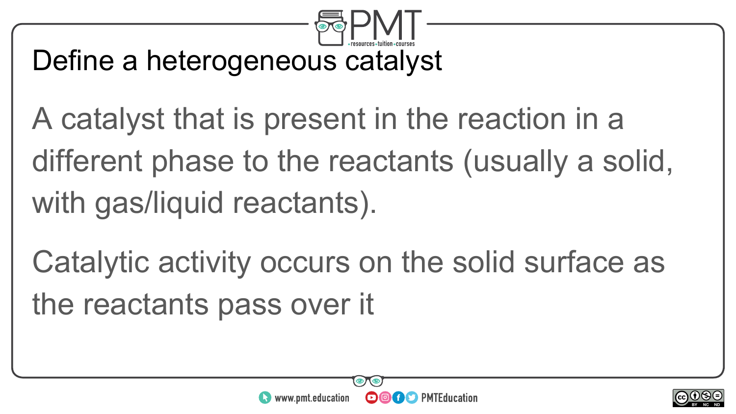

#### Define a heterogeneous catalyst

- A catalyst that is present in the reaction in a different phase to the reactants (usually a solid, with gas/liquid reactants).
- Catalytic activity occurs on the solid surface as the reactants pass over it



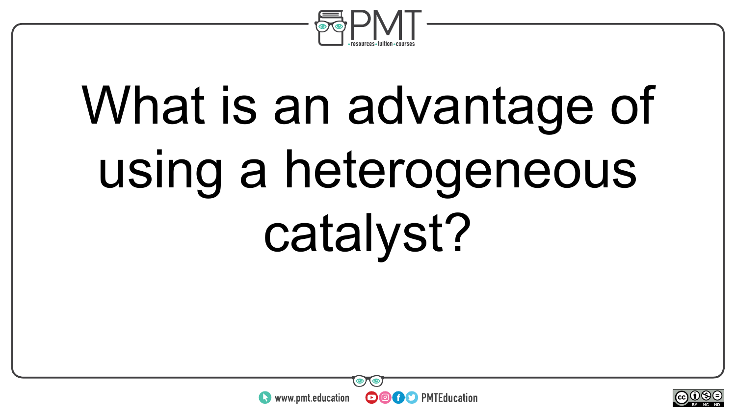

# What is an advantage of using a heterogeneous catalyst?



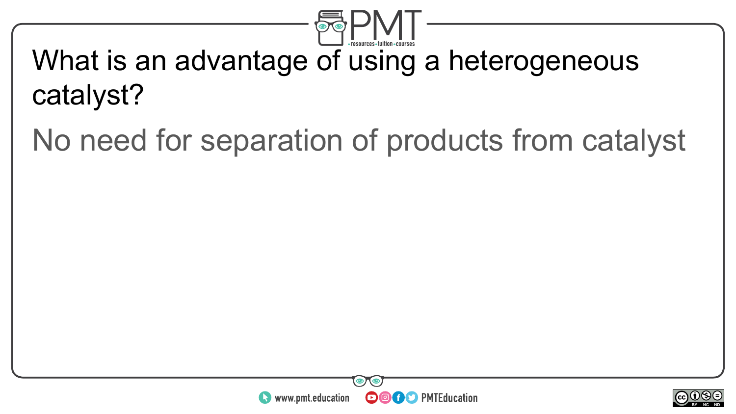

## What is an advantage of using a heterogeneous catalyst?

No need for separation of products from catalyst



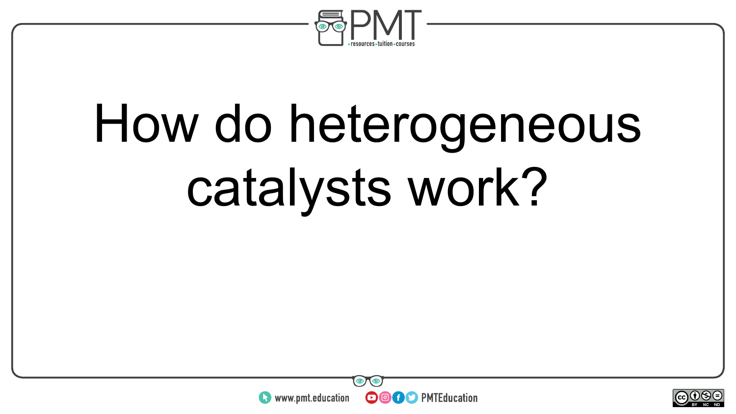

# How do heterogeneous catalysts work?



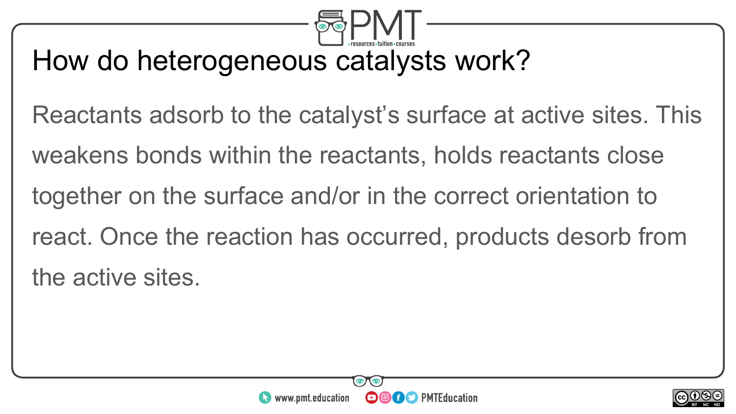

#### How do heterogeneous catalysts work?

Reactants adsorb to the catalyst's surface at active sites. This weakens bonds within the reactants, holds reactants close together on the surface and/or in the correct orientation to react. Once the reaction has occurred, products desorb from the active sites.



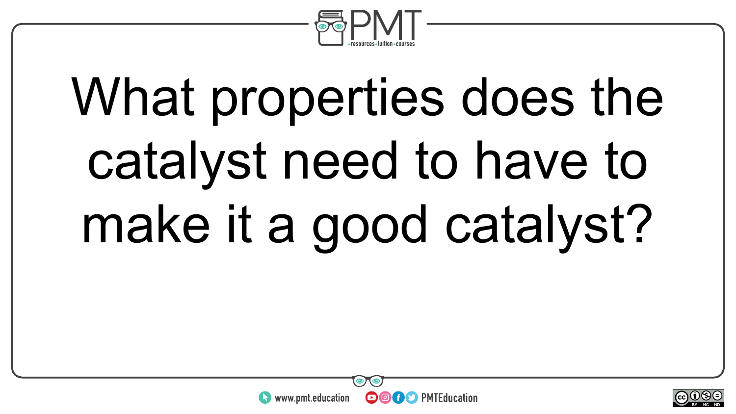

# What properties does the catalyst need to have to make it a good catalyst?



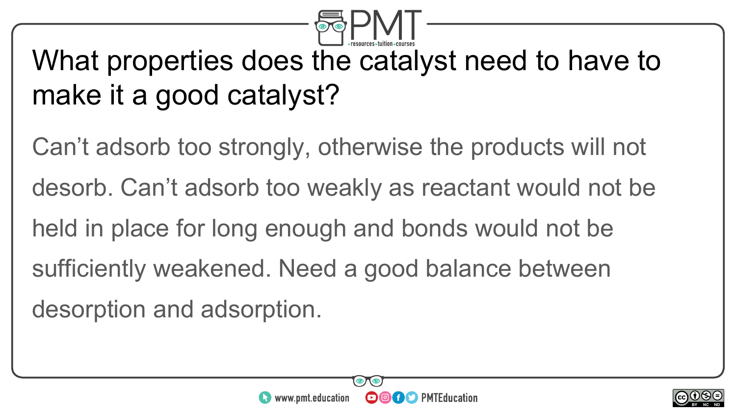

#### What properties does the catalyst need to have to make it a good catalyst?

Can't adsorb too strongly, otherwise the products will not desorb. Can't adsorb too weakly as reactant would not be held in place for long enough and bonds would not be sufficiently weakened. Need a good balance between desorption and adsorption.



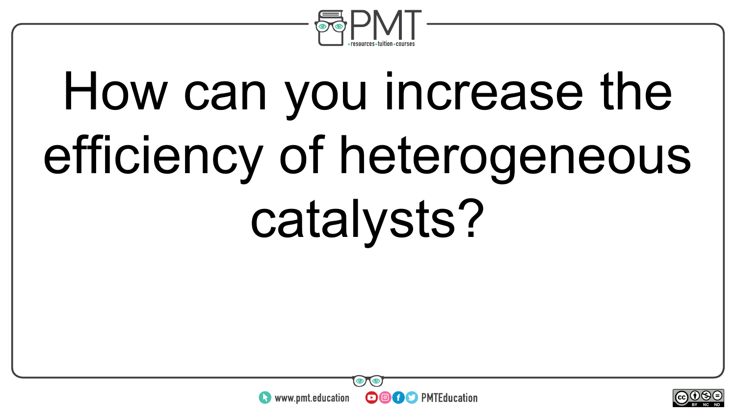

# How can you increase the efficiency of heterogeneous catalysts?



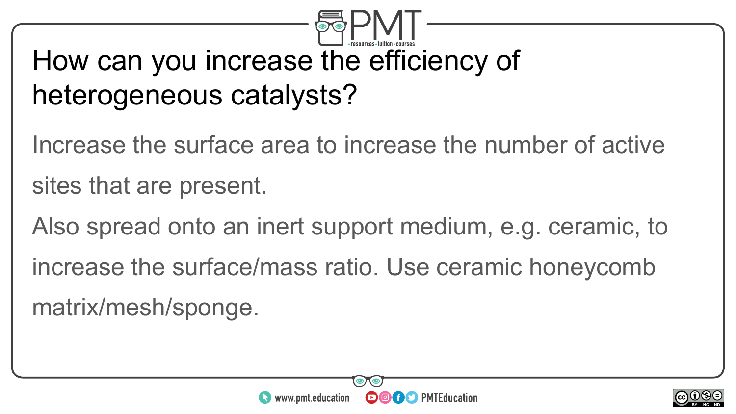### How can you increase the efficiency of heterogeneous catalysts?

Increase the surface area to increase the number of active sites that are present.

Also spread onto an inert support medium, e.g. ceramic, to increase the surface/mass ratio. Use ceramic honeycomb matrix/mesh/sponge.



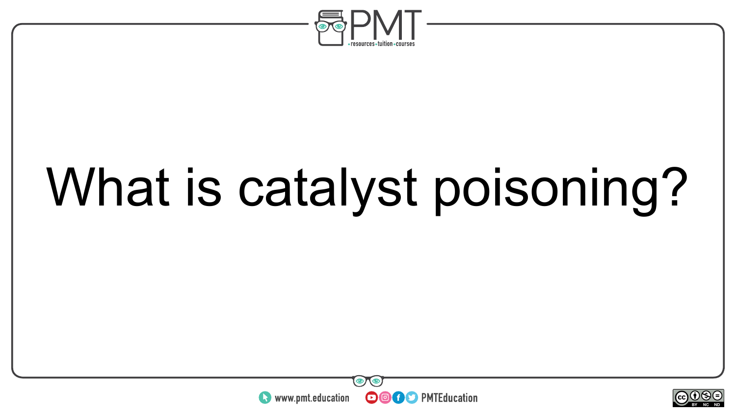

## What is catalyst poisoning?



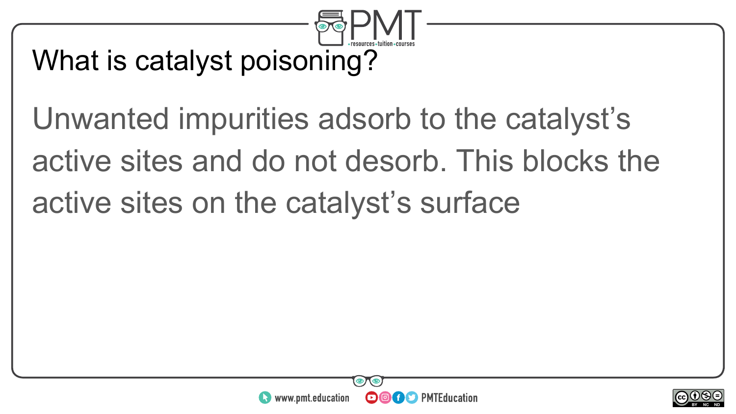

#### What is catalyst poisoning?

Unwanted impurities adsorb to the catalyst's active sites and do not desorb. This blocks the active sites on the catalyst's surface



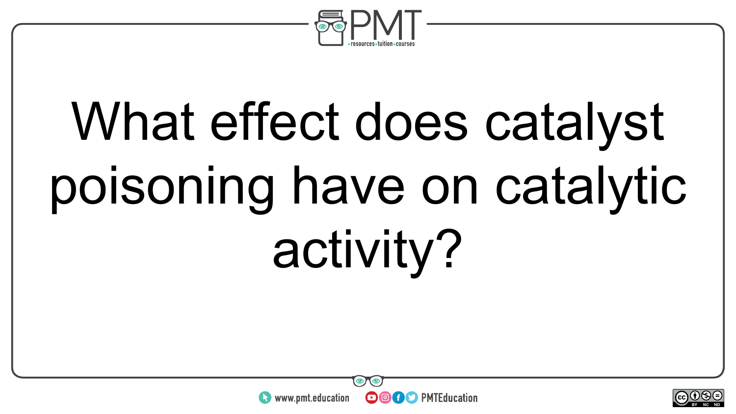

# What effect does catalyst poisoning have on catalytic activity?



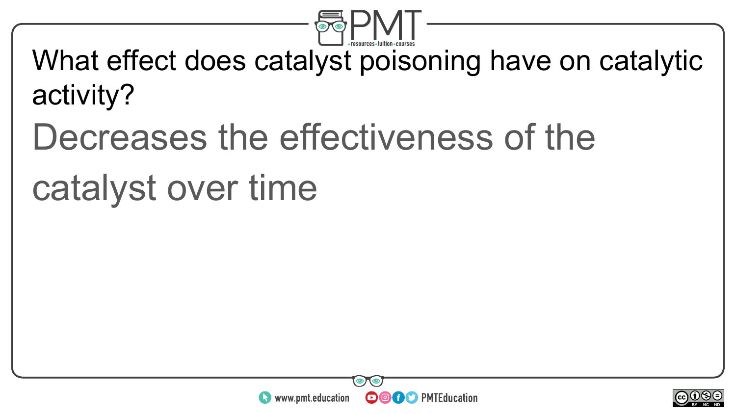

What effect does catalyst poisoning have on catalytic activity?

### Decreases the effectiveness of the

#### catalyst over time



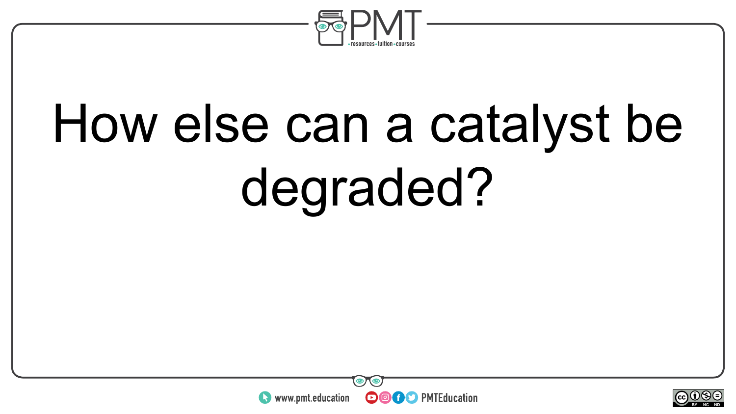

# How else can a catalyst be degraded?



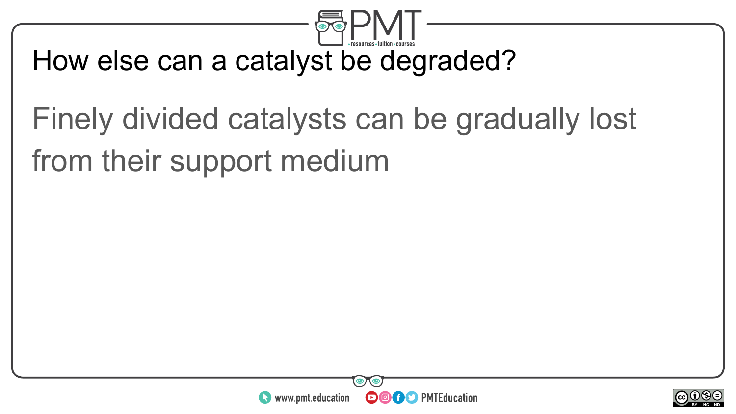

#### How else can a catalyst be degraded?

### Finely divided catalysts can be gradually lost from their support medium



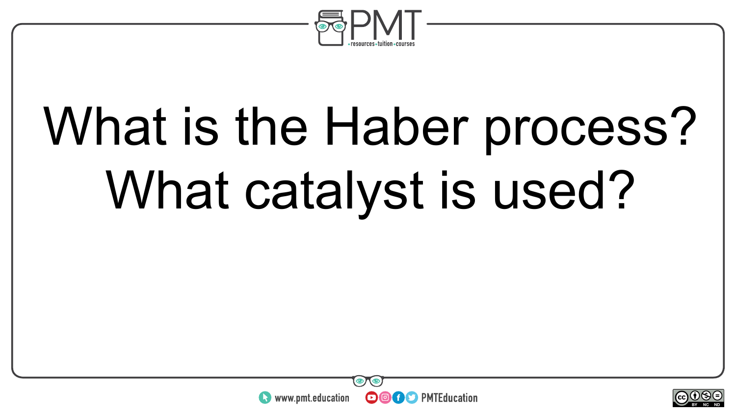

# What is the Haber process? What catalyst is used?



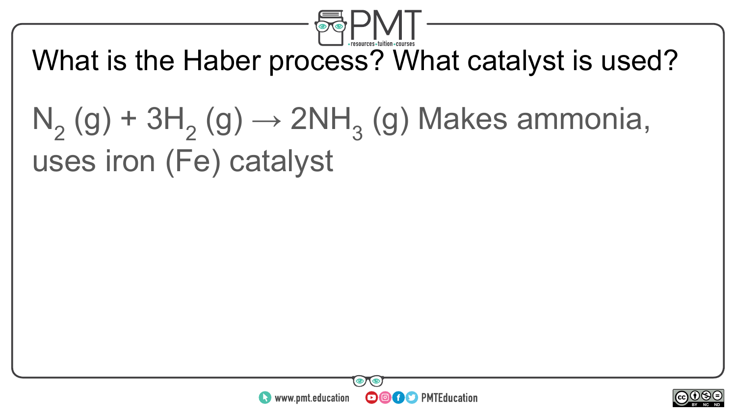

#### What is the Haber process? What catalyst is used?

### $N_2(g) + 3H_2(g) \rightarrow 2NH_3(g)$  Makes ammonia, uses iron (Fe) catalyst



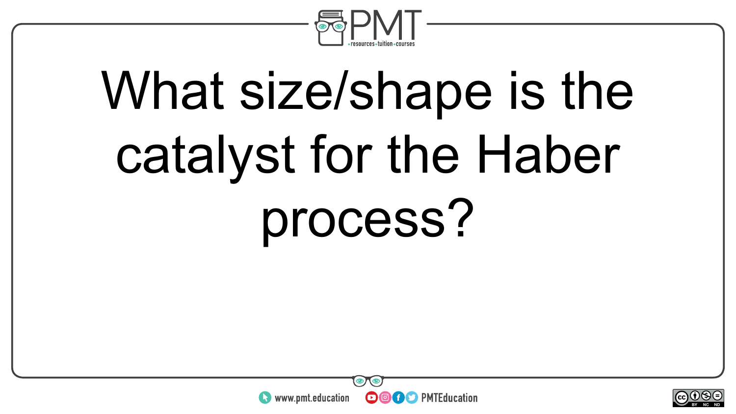

## What size/shape is the catalyst for the Haber process?



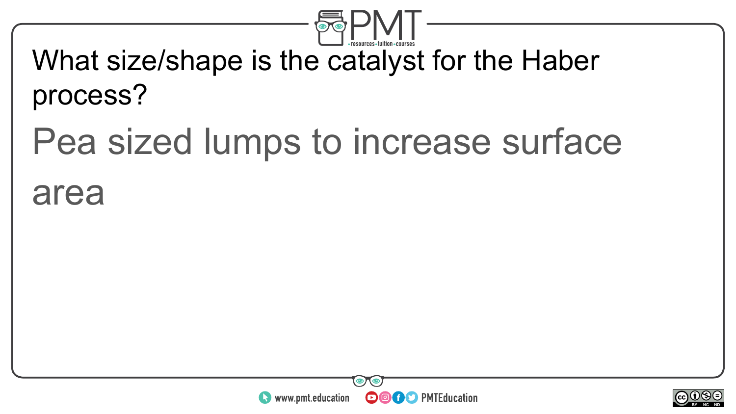

#### What size/shape is the catalyst for the Haber process?

### Pea sized lumps to increase surface

#### area



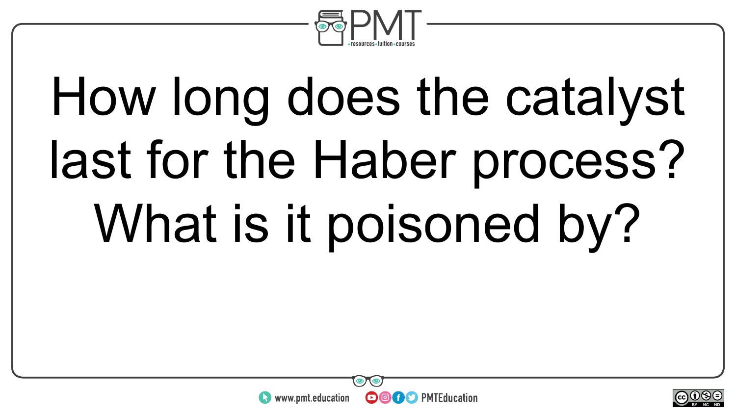

# How long does the catalyst last for the Haber process? What is it poisoned by?



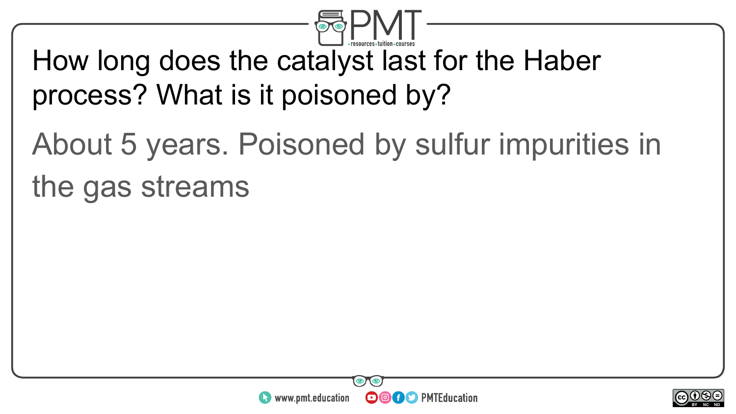

#### How long does the catalyst last for the Haber process? What is it poisoned by?

### About 5 years. Poisoned by sulfur impurities in the gas streams



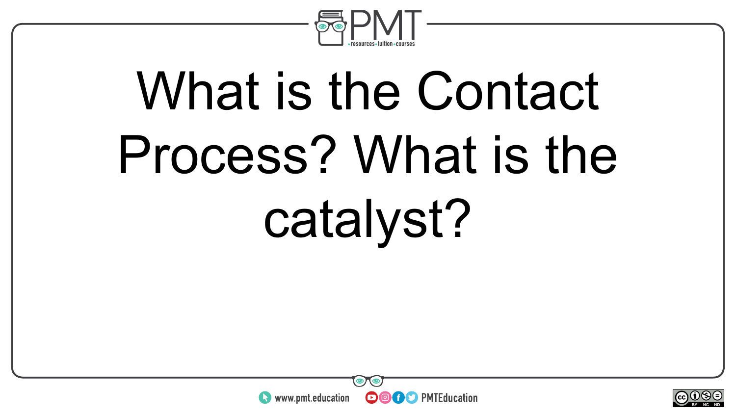

# What is the Contact Process? What is the catalyst?



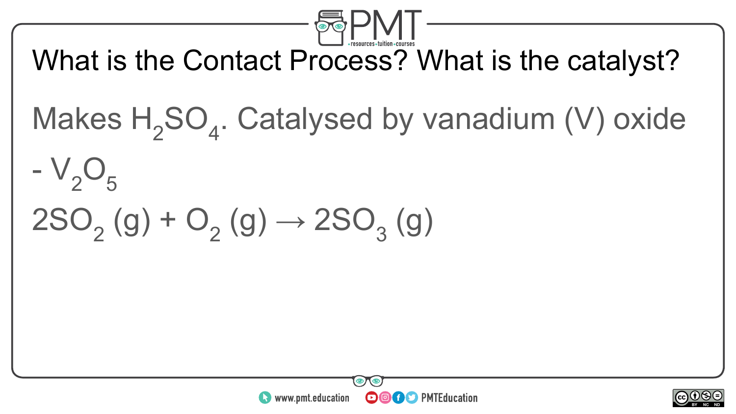

What is the Contact Process? What is the catalyst?

Makes  $H_2SO_4$ . Catalysed by vanadium (V) oxide

 $-V<sub>2</sub>O<sub>5</sub>$ 

### $2SO<sub>2</sub>(g) + O<sub>2</sub>(g) \rightarrow 2SO<sub>3</sub>(g)$



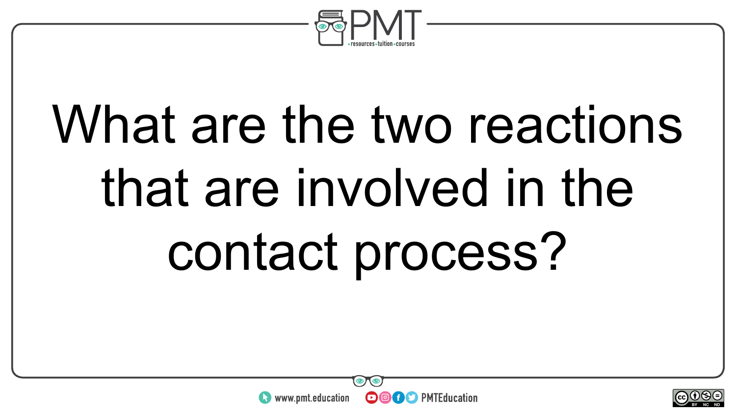

# What are the two reactions that are involved in the contact process?



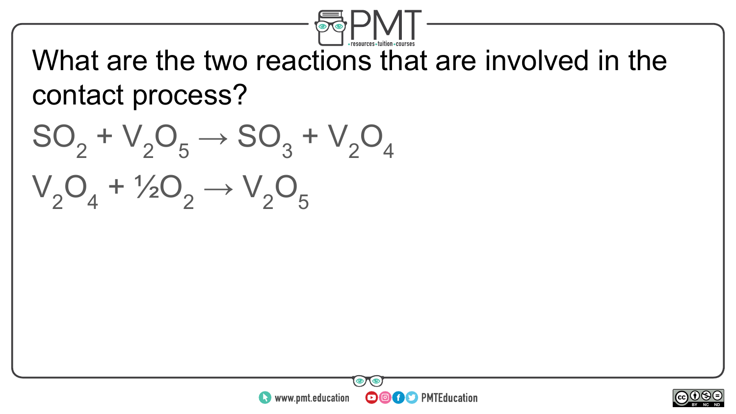

What are the two reactions that are involved in the contact process?

 $SO_2 + V_2O_5 \rightarrow SO_3 + V_2O_4$  $V_2O_4 + V_2O_2 \rightarrow V_2O_5$ 



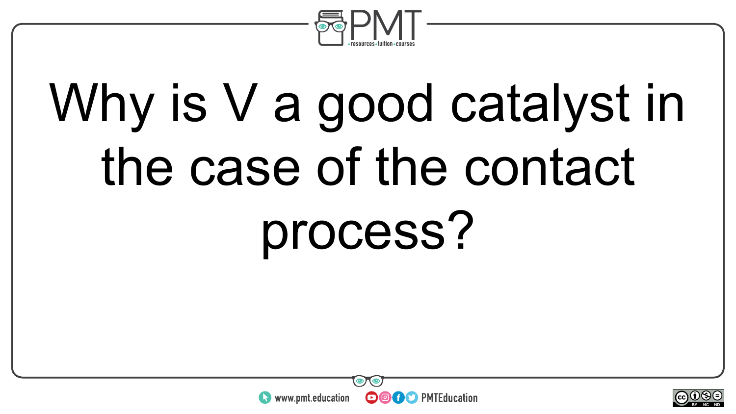

# Why is V a good catalyst in the case of the contact process?



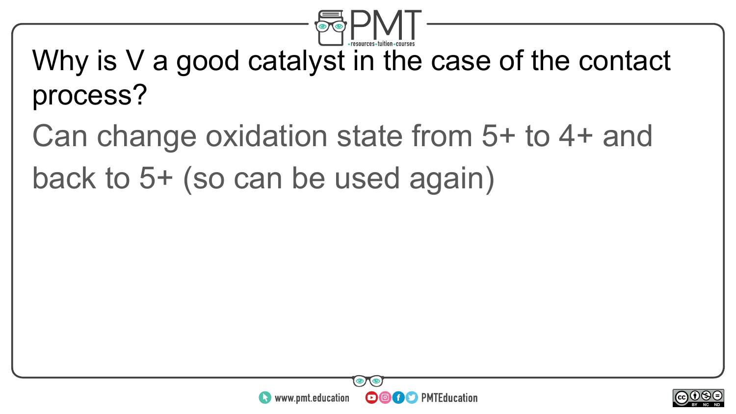

#### Why is V a good catalyst in the case of the contact process?

#### Can change oxidation state from 5+ to 4+ and back to 5+ (so can be used again)



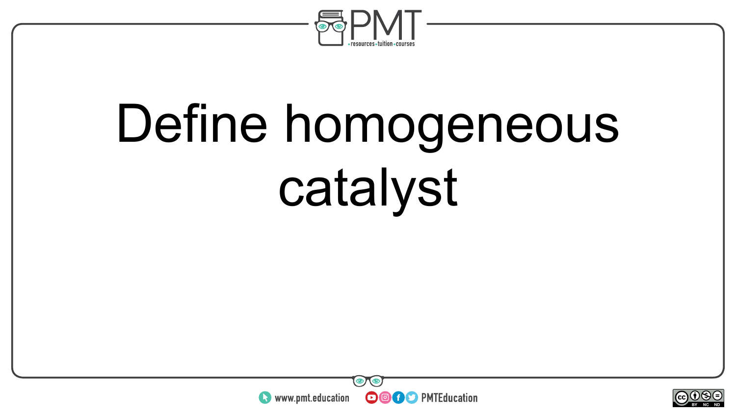

# Define homogeneous catalyst



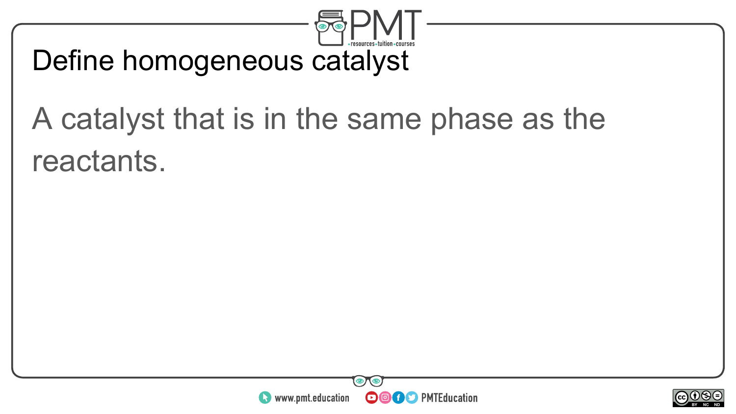

#### Define homogeneous catalyst

#### A catalyst that is in the same phase as the reactants.



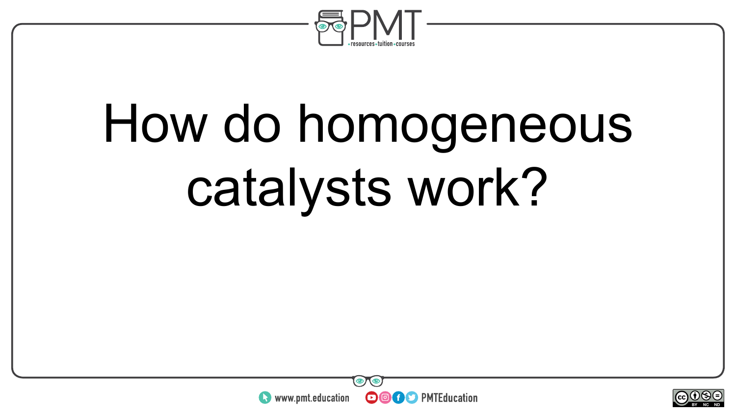

## How do homogeneous catalysts work?



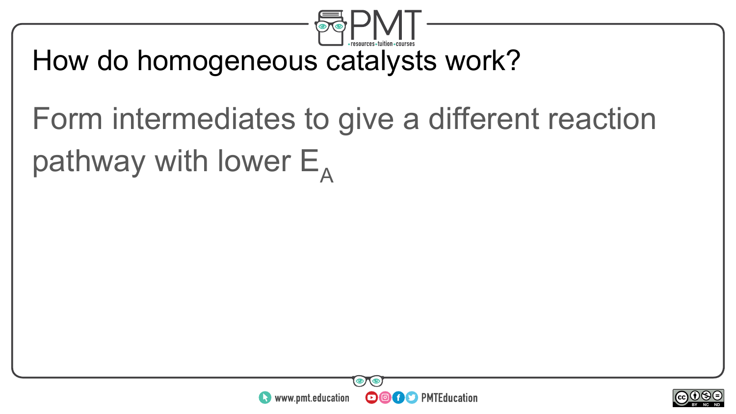

#### How do homogeneous catalysts work?

### Form intermediates to give a different reaction pathway with lower  $E_{\text{A}}$



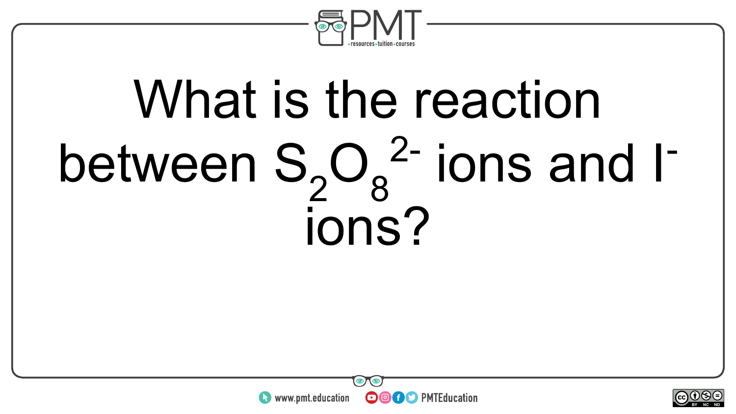

## What is the reaction between  $S_2O_8^2$  ions and I<sup>-</sup> ions?



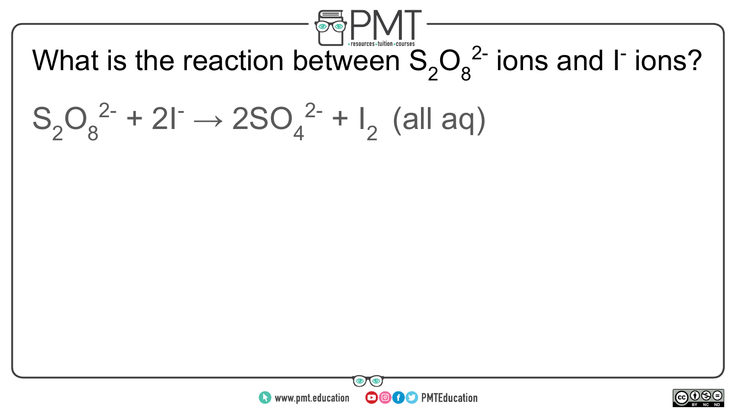

What is the reaction between  $S_2O_8^2$  ions and I<sup>-</sup> ions?

### $S_2O_8^{2-} + 2I^- \rightarrow 2SO_4^{2-} + I_2$  (all aq)



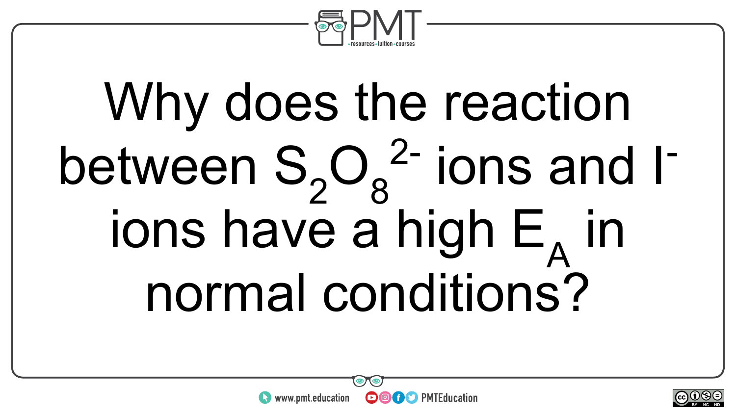

# Why does the reaction between  $S_2O_8^2$  ions and I<sup>-</sup> ions have a high  $E_A$  in normal conditions?



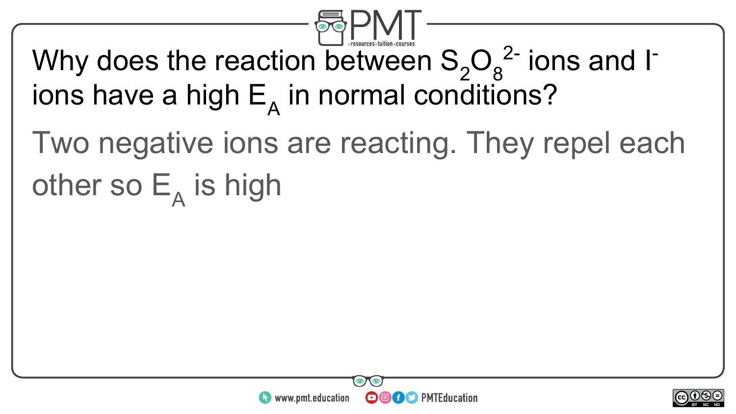

#### Why does the reaction between  $S_2O_8^2$  ions and I<sup>-</sup> ions have a high  $\mathsf{E}_{\mathsf{A}}$  in normal conditions?

### Two negative ions are reacting. They repel each other so  $\mathsf{E}_{\mathsf{A}}$  is high



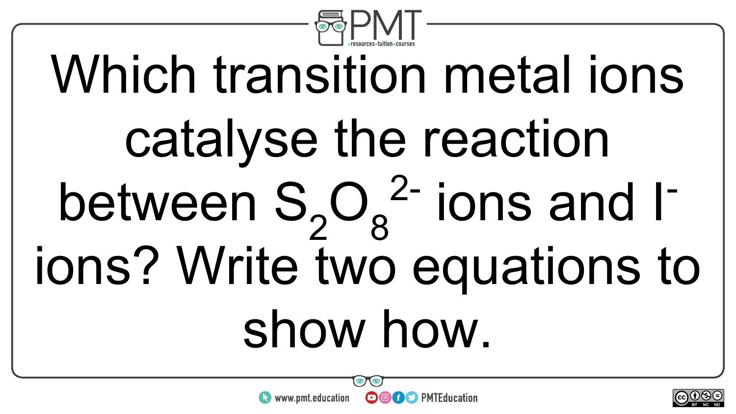

# Which transition metal ions catalyse the reaction between  $S_2O_8^2$ - ions and Iions? Write two equations to show how.



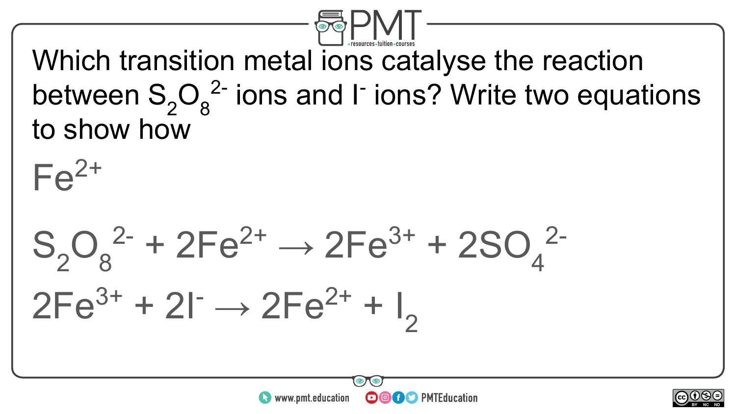

Which transition metal ions catalyse the reaction between  $S_2O_8^2$  ions and I<sup>-</sup> ions? Write two equations to show how

**OOOO** PMTEducation

 $\sim$ neel BY NC ND

 $S_2O_8^{2-} + 2Fe^{2+} \rightarrow 2Fe^{3+} + 2SO_4^{2-}$ 

 $\bullet$  www.pmt.education

 $2Fe^{3+} + 2I^{-} \rightarrow 2Fe^{2+} + I_{2}$ 

 $Fe<sup>2+</sup>$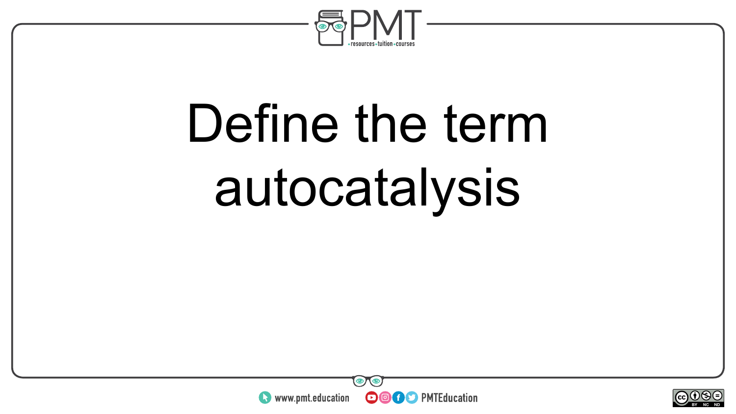

## Define the term autocatalysis



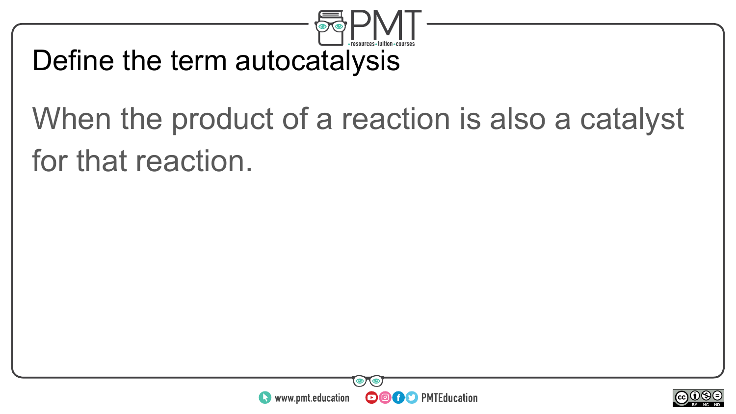

#### Define the term autocatalysis

#### When the product of a reaction is also a catalyst for that reaction.



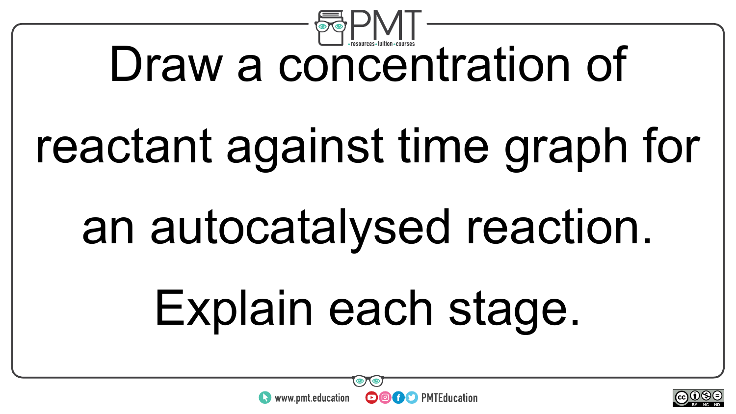

### Draw a concentration of

## reactant against time graph for

### an autocatalysed reaction.

## Explain each stage.



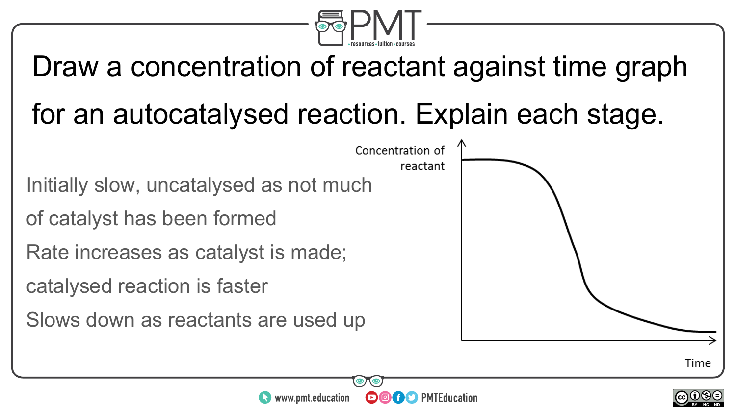

### Draw a concentration of reactant against time graph

#### for an autocatalysed reaction. Explain each stage.

Initially slow, uncatalysed as not much

of catalyst has been formed

Rate increases as catalyst is made;

catalysed reaction is faster

Slows down as reactants are used up





**OOOO** PMTEducation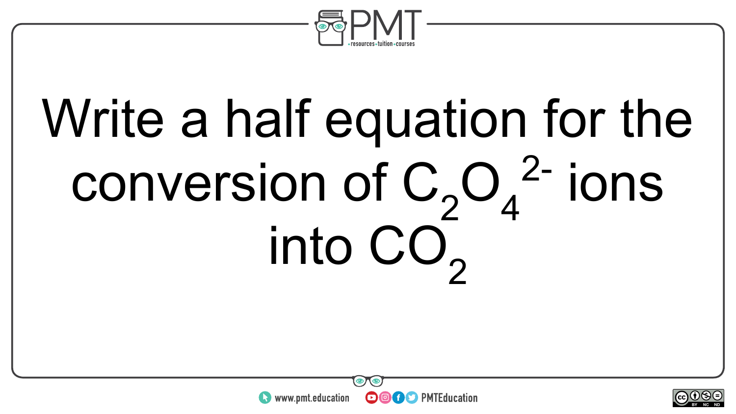

# Write a half equation for the conversion of  $C_2O_4^2$  ions into CO<sub>2</sub>



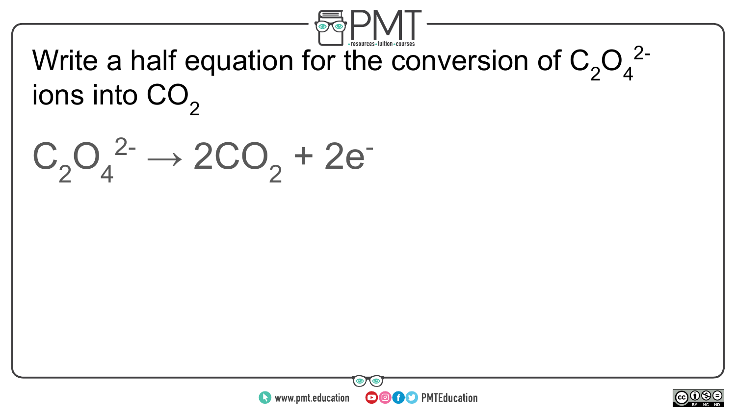

Write a half equation for the conversion of  $C_2O_4^{2-}$ ions into  $CO<sub>2</sub>$ 

 $C_2O_4^2$ <sup>2-</sup>  $\rightarrow$  2CO<sub>2</sub> + 2e<sup>-</sup>



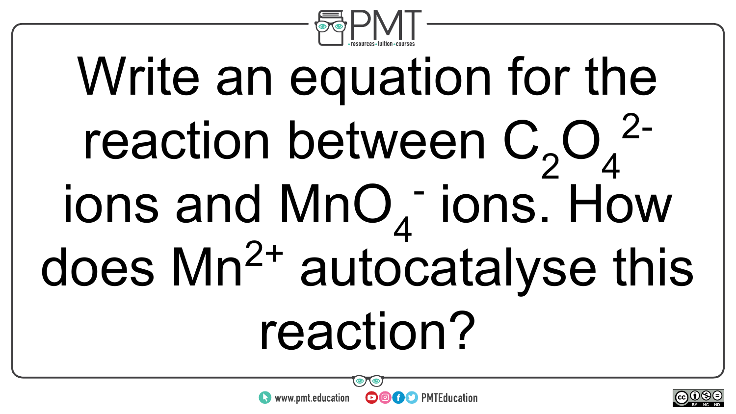

## Write an equation for the reaction between  $C_2O_4^2$  $ions$  and  $MnO<sub>4</sub>$  ions. How does Mn<sup>2+</sup> autocatalyse this reaction?



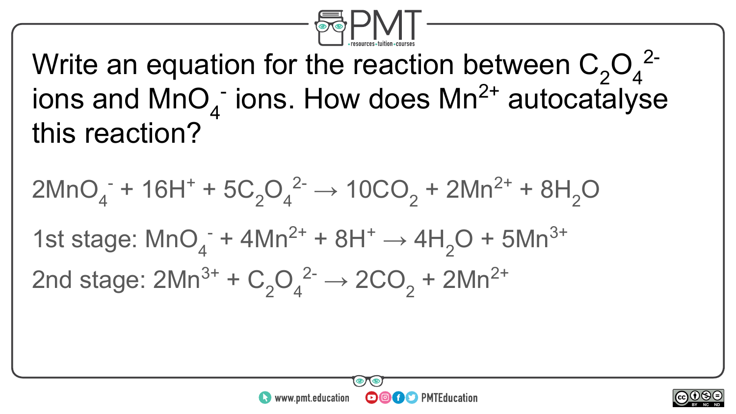

Write an equation for the reaction between  $C_2O_4^{2-1}$ ions and  $MnO<sub>4</sub>$  ions. How does  $Mn^{2+}$  autocatalyse this reaction?

$$
2MnO4- + 16H+ + 5C2O42- \rightarrow 10CO2 + 2Mn2+ + 8H2O
$$
  
1st stage: MnO<sub>4</sub><sup>-</sup> + 4Mn<sup>2+</sup> + 8H<sup>+</sup> \rightarrow 4H<sub>2</sub>O + 5Mn<sup>3+</sup>  
2nd stage: 2Mn<sup>3+</sup> + C<sub>2</sub>O<sub>4</sub><sup>2-</sup> \rightarrow 2CO<sub>2</sub> + 2Mn<sup>2+</sup>



**OOOO** PMTEducation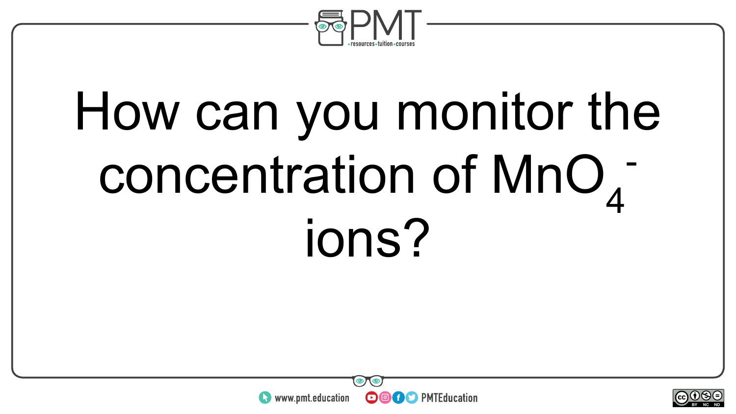

### How can you monitor the concentration of MnO<sub>4</sub> ions?